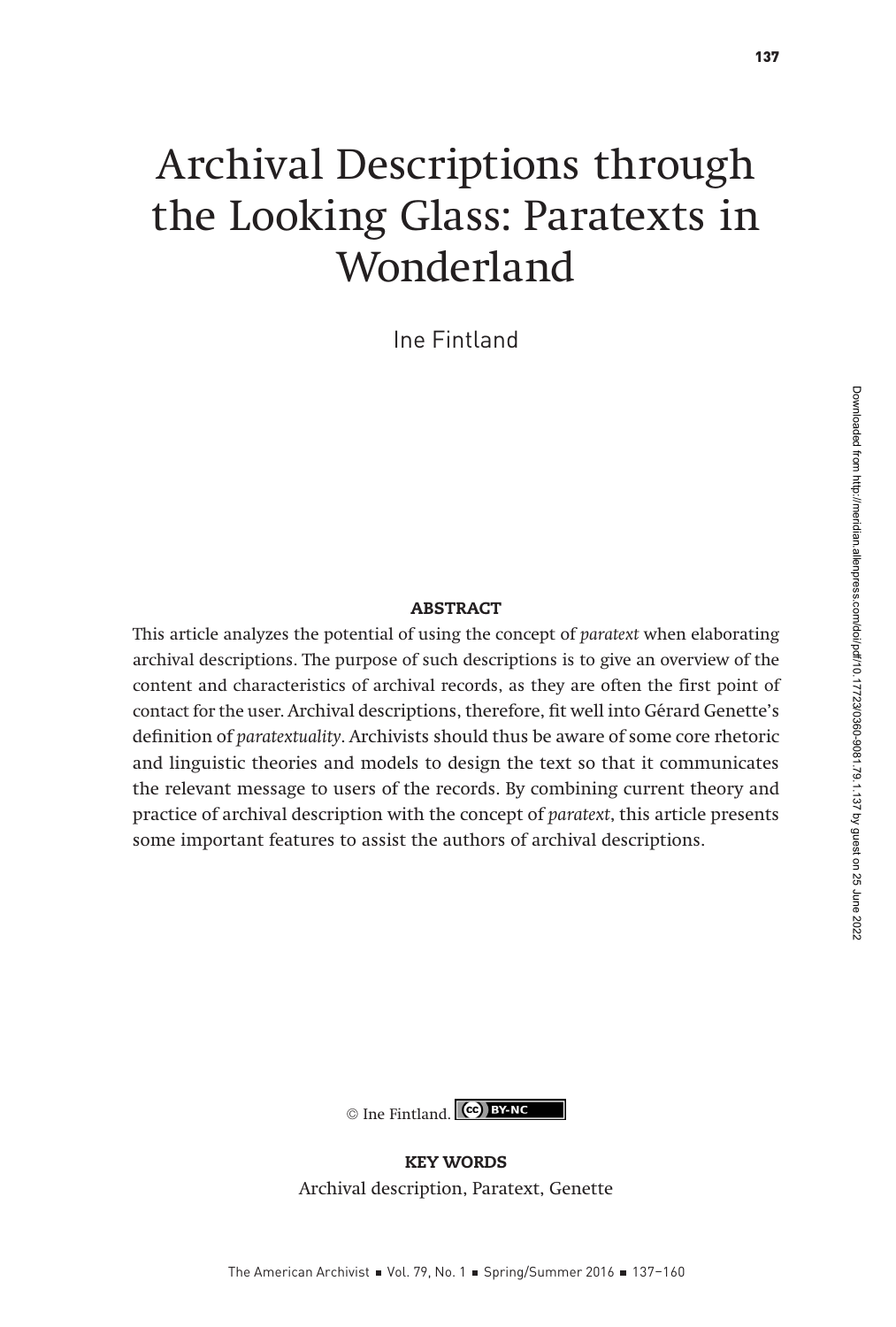# Archival Descriptions through the Looking Glass: Paratexts in Wonderland

Ine Fintland

#### ABSTRACT

This article analyzes the potential of using the concept of paratext when elaborating archival descriptions. The purpose of such descriptions is to give an overview of the content and characteristics of archival records, as they are often the first point of contact for the user. Archival descriptions, therefore, fit well into Gérard Genette's definition of paratextuality. Archivists should thus be aware of some core rhetoric and linguistic theories and models to design the text so that it communicates the relevant message to users of the records. By combining current theory and practice of archival description with the concept of paratext, this article presents some important features to assist the authors of archival descriptions.



KEY WORDS Archival description, Paratext, Genette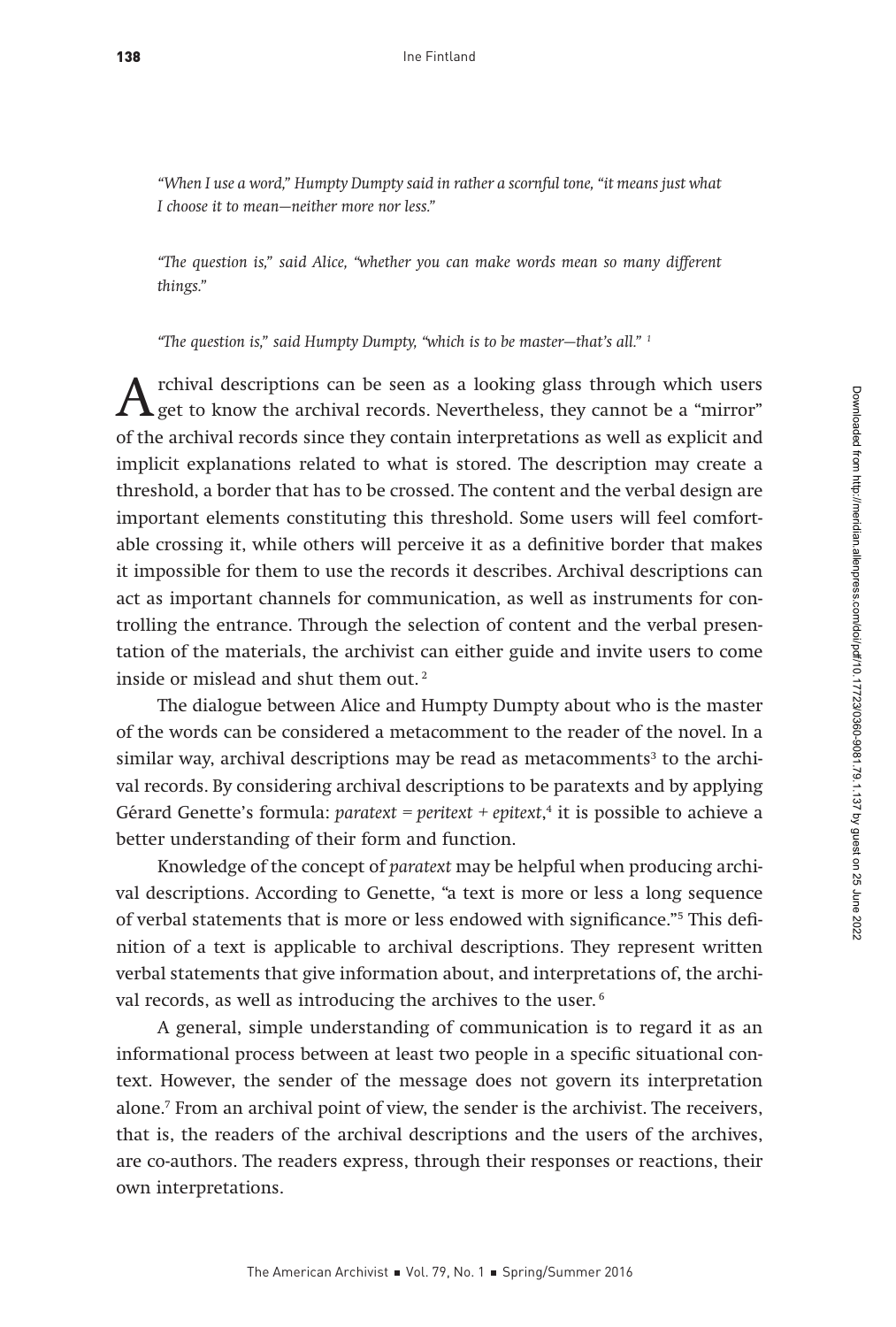"When I use a word," Humpty Dumpty said in rather a scornful tone, "it means just what I choose it to mean—neither more nor less."

"The question is," said Alice, "whether you can make words mean so many different things."

"The question is," said Humpty Dumpty, "which is to be master—that's all." 1

A rchival descriptions can be seen as a looking glass through which users<br>get to know the archival records. Nevertheless, they cannot be a "mirror"<br>of the archival records since they cantain intermetations cannot be a smil of the archival records since they contain interpretations as well as explicit and implicit explanations related to what is stored. The description may create a threshold, a border that has to be crossed. The content and the verbal design are important elements constituting this threshold. Some users will feel comfortable crossing it, while others will perceive it as a definitive border that makes it impossible for them to use the records it describes. Archival descriptions can act as important channels for communication, as well as instruments for controlling the entrance. Through the selection of content and the verbal presentation of the materials, the archivist can either guide and invite users to come inside or mislead and shut them out.<sup>2</sup>

The dialogue between Alice and Humpty Dumpty about who is the master of the words can be considered a metacomment to the reader of the novel. In a  $s$ imilar way, archival descriptions may be read as metacomments $^3$  to the archival records. By considering archival descriptions to be paratexts and by applying Gérard Genette's formula: paratext = peritext + epitext, 4 it is possible to achieve a better understanding of their form and function.

Knowledge of the concept of paratext may be helpful when producing archival descriptions. According to Genette, "a text is more or less a long sequence of verbal statements that is more or less endowed with significance."5 This definition of a text is applicable to archival descriptions. They represent written verbal statements that give information about, and interpretations of, the archival records, as well as introducing the archives to the user.<sup>6</sup>

A general, simple understanding of communication is to regard it as an informational process between at least two people in a specific situational context. However, the sender of the message does not govern its interpretation alone.7 From an archival point of view, the sender is the archivist. The receivers, that is, the readers of the archival descriptions and the users of the archives, are co-authors. The readers express, through their responses or reactions, their own interpretations.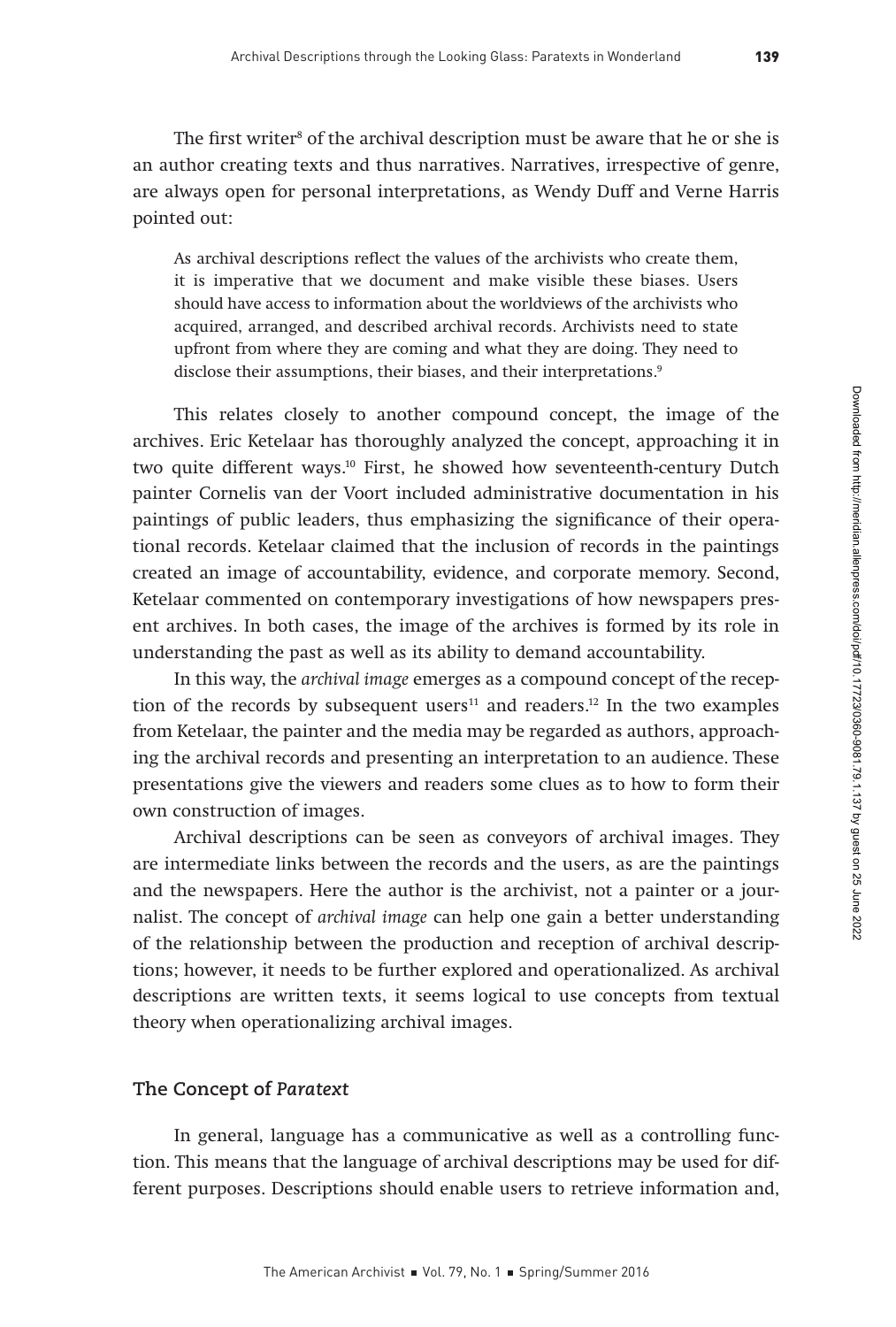The first writer<sup>s</sup> of the archival description must be aware that he or she is an author creating texts and thus narratives. Narratives, irrespective of genre, are always open for personal interpretations, as Wendy Duff and Verne Harris pointed out:

As archival descriptions reflect the values of the archivists who create them, it is imperative that we document and make visible these biases. Users should have access to information about the worldviews of the archivists who acquired, arranged, and described archival records. Archivists need to state upfront from where they are coming and what they are doing. They need to disclose their assumptions, their biases, and their interpretations.<sup>9</sup>

This relates closely to another compound concept, the image of the archives. Eric Ketelaar has thoroughly analyzed the concept, approaching it in two quite different ways.10 First, he showed how seventeenth-century Dutch painter Cornelis van der Voort included administrative documentation in his paintings of public leaders, thus emphasizing the significance of their operational records. Ketelaar claimed that the inclusion of records in the paintings created an image of accountability, evidence, and corporate memory. Second, Ketelaar commented on contemporary investigations of how newspapers present archives. In both cases, the image of the archives is formed by its role in understanding the past as well as its ability to demand accountability.

In this way, the archival image emerges as a compound concept of the reception of the records by subsequent users<sup>11</sup> and readers.<sup>12</sup> In the two examples from Ketelaar, the painter and the media may be regarded as authors, approaching the archival records and presenting an interpretation to an audience. These presentations give the viewers and readers some clues as to how to form their own construction of images.

Archival descriptions can be seen as conveyors of archival images. They are intermediate links between the records and the users, as are the paintings and the newspapers. Here the author is the archivist, not a painter or a journalist. The concept of archival image can help one gain a better understanding of the relationship between the production and reception of archival descriptions; however, it needs to be further explored and operationalized. As archival descriptions are written texts, it seems logical to use concepts from textual theory when operationalizing archival images.

## **The Concept of** *Paratext*

In general, language has a communicative as well as a controlling function. This means that the language of archival descriptions may be used for different purposes. Descriptions should enable users to retrieve information and,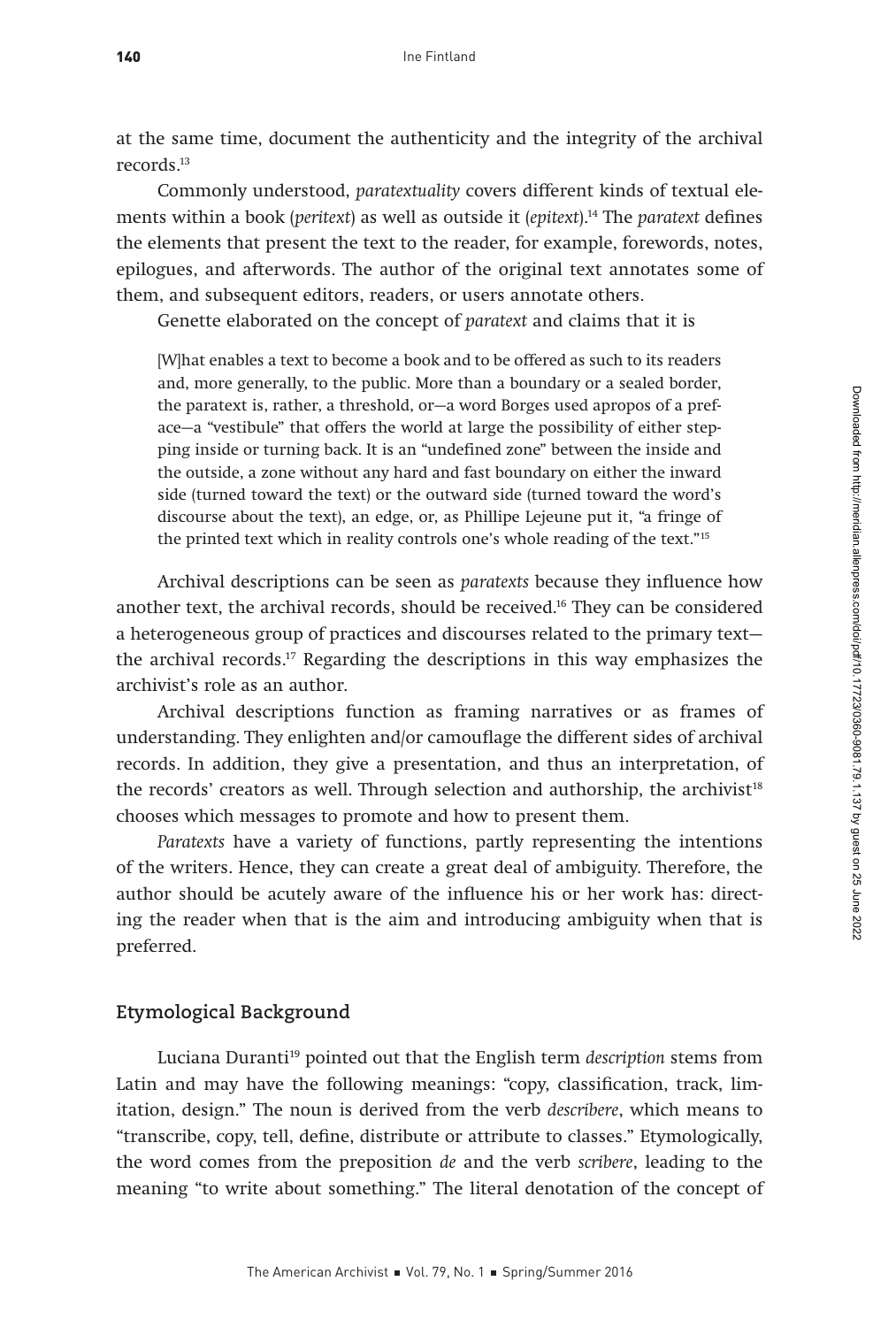at the same time, document the authenticity and the integrity of the archival records.13

Commonly understood, paratextuality covers different kinds of textual elements within a book (peritext) as well as outside it (epitext).<sup>14</sup> The paratext defines the elements that present the text to the reader, for example, forewords, notes, epilogues, and afterwords. The author of the original text annotates some of them, and subsequent editors, readers, or users annotate others.

Genette elaborated on the concept of paratext and claims that it is

[W]hat enables a text to become a book and to be offered as such to its readers and, more generally, to the public. More than a boundary or a sealed border, the paratext is, rather, a threshold, or—a word Borges used apropos of a preface—a "vestibule" that offers the world at large the possibility of either stepping inside or turning back. It is an "undefined zone" between the inside and the outside, a zone without any hard and fast boundary on either the inward side (turned toward the text) or the outward side (turned toward the word's discourse about the text), an edge, or, as Phillipe Lejeune put it, "a fringe of the printed text which in reality controls one's whole reading of the text."15

Archival descriptions can be seen as paratexts because they influence how another text, the archival records, should be received.16 They can be considered a heterogeneous group of practices and discourses related to the primary text the archival records.17 Regarding the descriptions in this way emphasizes the archivist's role as an author.

Archival descriptions function as framing narratives or as frames of understanding. They enlighten and/or camouflage the different sides of archival records. In addition, they give a presentation, and thus an interpretation, of the records' creators as well. Through selection and authorship, the archivist<sup>18</sup> chooses which messages to promote and how to present them.

Paratexts have a variety of functions, partly representing the intentions of the writers. Hence, they can create a great deal of ambiguity. Therefore, the author should be acutely aware of the influence his or her work has: directing the reader when that is the aim and introducing ambiguity when that is preferred.

# **Etymological Background**

Luciana Duranti<sup>19</sup> pointed out that the English term description stems from Latin and may have the following meanings: "copy, classification, track, limitation, design." The noun is derived from the verb describere, which means to "transcribe, copy, tell, define, distribute or attribute to classes." Etymologically, the word comes from the preposition de and the verb scribere, leading to the meaning "to write about something." The literal denotation of the concept of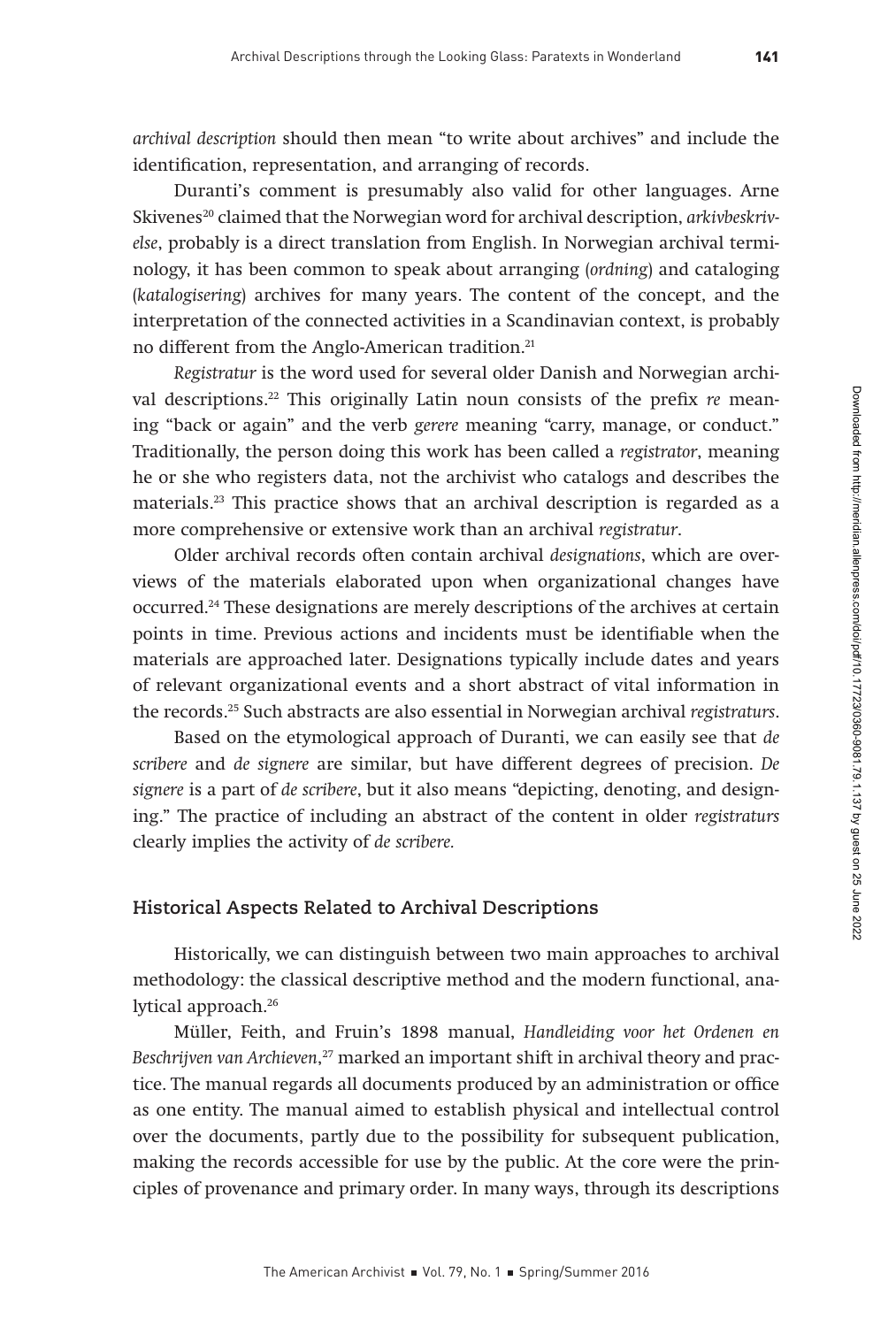archival description should then mean "to write about archives" and include the identification, representation, and arranging of records.

Duranti's comment is presumably also valid for other languages. Arne Skivenes<sup>20</sup> claimed that the Norwegian word for archival description, *arkivbeskriv*else, probably is a direct translation from English. In Norwegian archival terminology, it has been common to speak about arranging (ordning) and cataloging (katalogisering) archives for many years. The content of the concept, and the interpretation of the connected activities in a Scandinavian context, is probably no different from the Anglo-American tradition.<sup>21</sup>

Registratur is the word used for several older Danish and Norwegian archival descriptions.<sup>22</sup> This originally Latin noun consists of the prefix  $re$  meaning "back or again" and the verb gerere meaning "carry, manage, or conduct." Traditionally, the person doing this work has been called a registrator, meaning he or she who registers data, not the archivist who catalogs and describes the materials.23 This practice shows that an archival description is regarded as a more comprehensive or extensive work than an archival registratur.

Older archival records often contain archival designations, which are overviews of the materials elaborated upon when organizational changes have occurred.24 These designations are merely descriptions of the archives at certain points in time. Previous actions and incidents must be identifiable when the materials are approached later. Designations typically include dates and years of relevant organizational events and a short abstract of vital information in the records.25 Such abstracts are also essential in Norwegian archival registraturs.

Based on the etymological approach of Duranti, we can easily see that de scribere and de signere are similar, but have different degrees of precision. De signere is a part of de scribere, but it also means "depicting, denoting, and designing." The practice of including an abstract of the content in older registraturs clearly implies the activity of de scribere.

#### **Historical Aspects Related to Archival Descriptions**

Historically, we can distinguish between two main approaches to archival methodology: the classical descriptive method and the modern functional, analytical approach.<sup>26</sup>

Müller, Feith, and Fruin's 1898 manual, Handleiding voor het Ordenen en Beschrijven van Archieven, 27 marked an important shift in archival theory and practice. The manual regards all documents produced by an administration or office as one entity. The manual aimed to establish physical and intellectual control over the documents, partly due to the possibility for subsequent publication, making the records accessible for use by the public. At the core were the principles of provenance and primary order. In many ways, through its descriptions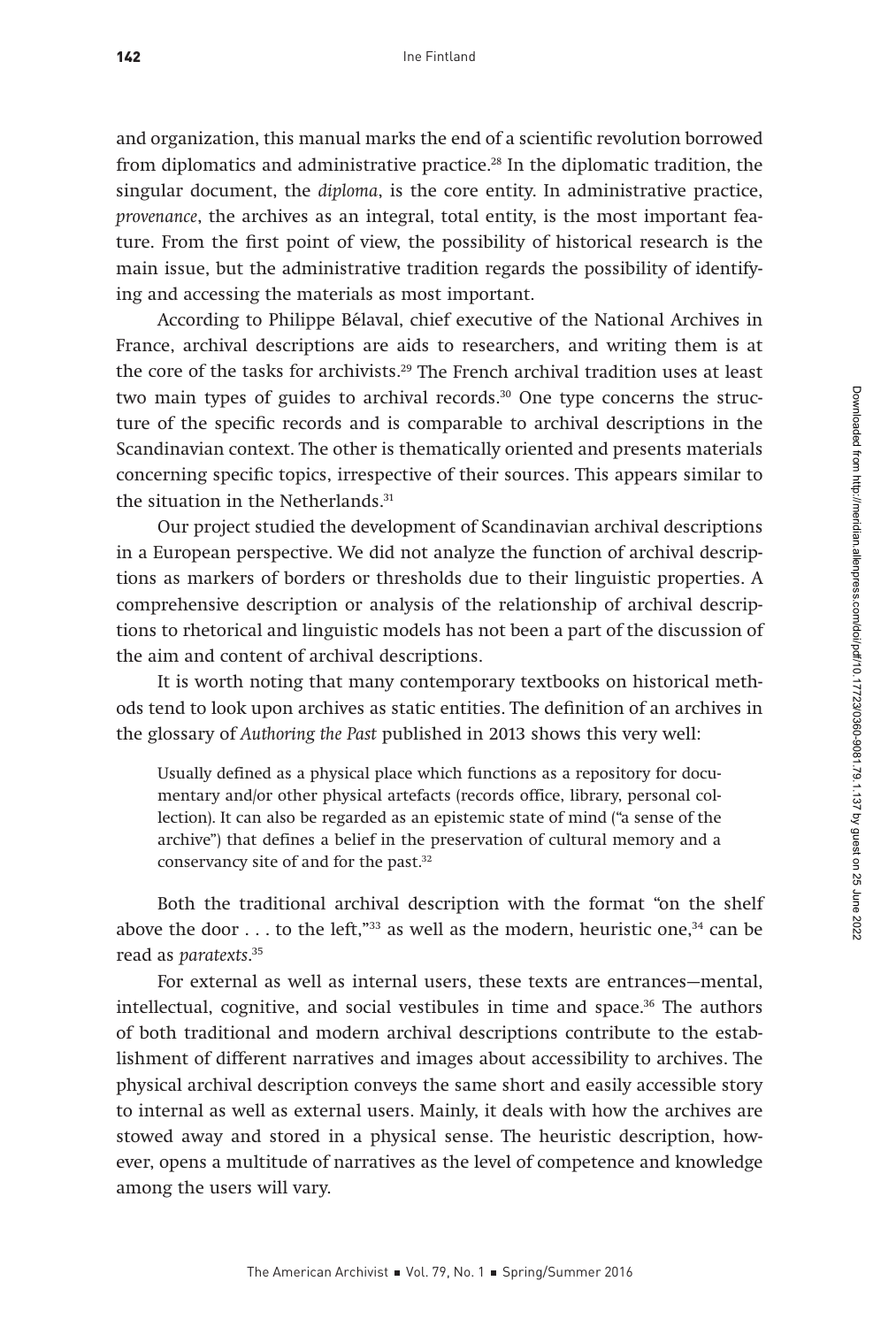and organization, this manual marks the end of a scientific revolution borrowed from diplomatics and administrative practice.28 In the diplomatic tradition, the singular document, the diploma, is the core entity. In administrative practice, provenance, the archives as an integral, total entity, is the most important feature. From the first point of view, the possibility of historical research is the main issue, but the administrative tradition regards the possibility of identifying and accessing the materials as most important.

According to Philippe Bélaval, chief executive of the National Archives in France, archival descriptions are aids to researchers, and writing them is at the core of the tasks for archivists.<sup>29</sup> The French archival tradition uses at least two main types of guides to archival records.<sup>30</sup> One type concerns the structure of the specific records and is comparable to archival descriptions in the Scandinavian context. The other is thematically oriented and presents materials concerning specific topics, irrespective of their sources. This appears similar to the situation in the Netherlands.<sup>31</sup>

Our project studied the development of Scandinavian archival descriptions in a European perspective. We did not analyze the function of archival descriptions as markers of borders or thresholds due to their linguistic properties. A comprehensive description or analysis of the relationship of archival descriptions to rhetorical and linguistic models has not been a part of the discussion of the aim and content of archival descriptions.

It is worth noting that many contemporary textbooks on historical methods tend to look upon archives as static entities. The definition of an archives in the glossary of Authoring the Past published in 2013 shows this very well:

Usually defined as a physical place which functions as a repository for documentary and/or other physical artefacts (records office, library, personal collection). It can also be regarded as an epistemic state of mind ("a sense of the archive") that defines a belief in the preservation of cultural memory and a conservancy site of and for the past.<sup>32</sup>

Both the traditional archival description with the format "on the shelf above the door  $\dots$  to the left,"<sup>33</sup> as well as the modern, heuristic one,<sup>34</sup> can be read as paratexts. 35

For external as well as internal users, these texts are entrances—mental, intellectual, cognitive, and social vestibules in time and space.36 The authors of both traditional and modern archival descriptions contribute to the establishment of different narratives and images about accessibility to archives. The physical archival description conveys the same short and easily accessible story to internal as well as external users. Mainly, it deals with how the archives are stowed away and stored in a physical sense. The heuristic description, however, opens a multitude of narratives as the level of competence and knowledge among the users will vary.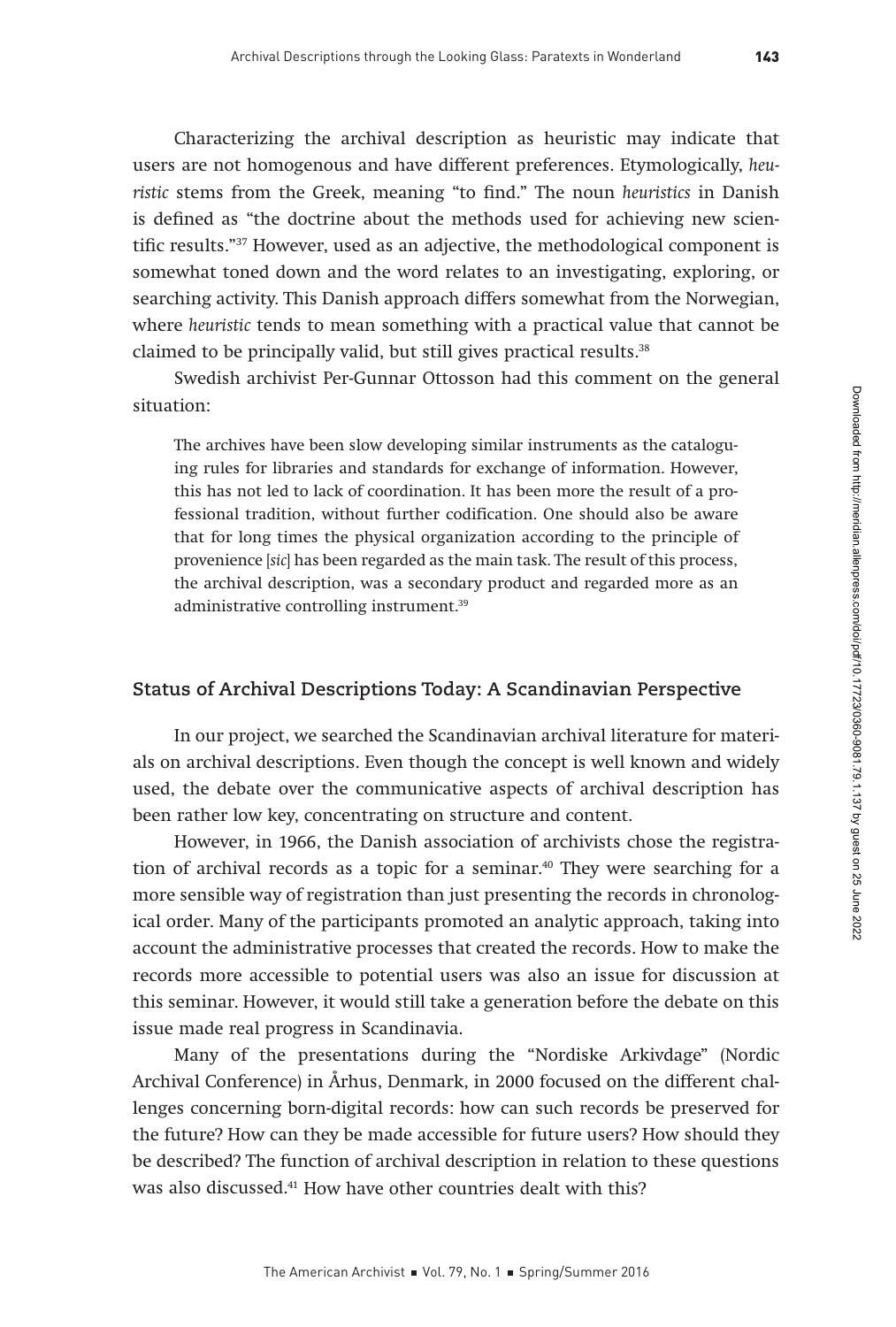Characterizing the archival description as heuristic may indicate that users are not homogenous and have different preferences. Etymologically, heuristic stems from the Greek, meaning "to find." The noun heuristics in Danish is defined as "the doctrine about the methods used for achieving new scientific results."37 However, used as an adjective, the methodological component is somewhat toned down and the word relates to an investigating, exploring, or searching activity. This Danish approach differs somewhat from the Norwegian, where heuristic tends to mean something with a practical value that cannot be claimed to be principally valid, but still gives practical results.<sup>38</sup>

Swedish archivist Per-Gunnar Ottosson had this comment on the general situation:

The archives have been slow developing similar instruments as the cataloguing rules for libraries and standards for exchange of information. However, this has not led to lack of coordination. It has been more the result of a professional tradition, without further codification. One should also be aware that for long times the physical organization according to the principle of provenience [sic] has been regarded as the main task. The result of this process, the archival description, was a secondary product and regarded more as an administrative controlling instrument.39

### **Status of Archival Descriptions Today: A Scandinavian Perspective**

In our project, we searched the Scandinavian archival literature for materials on archival descriptions. Even though the concept is well known and widely used, the debate over the communicative aspects of archival description has been rather low key, concentrating on structure and content.

However, in 1966, the Danish association of archivists chose the registration of archival records as a topic for a seminar.<sup>40</sup> They were searching for a more sensible way of registration than just presenting the records in chronological order. Many of the participants promoted an analytic approach, taking into account the administrative processes that created the records. How to make the records more accessible to potential users was also an issue for discussion at this seminar. However, it would still take a generation before the debate on this issue made real progress in Scandinavia.

Many of the presentations during the "Nordiske Arkivdage" (Nordic Archival Conference) in Århus, Denmark, in 2000 focused on the different challenges concerning born-digital records: how can such records be preserved for the future? How can they be made accessible for future users? How should they be described? The function of archival description in relation to these questions was also discussed.<sup>41</sup> How have other countries dealt with this?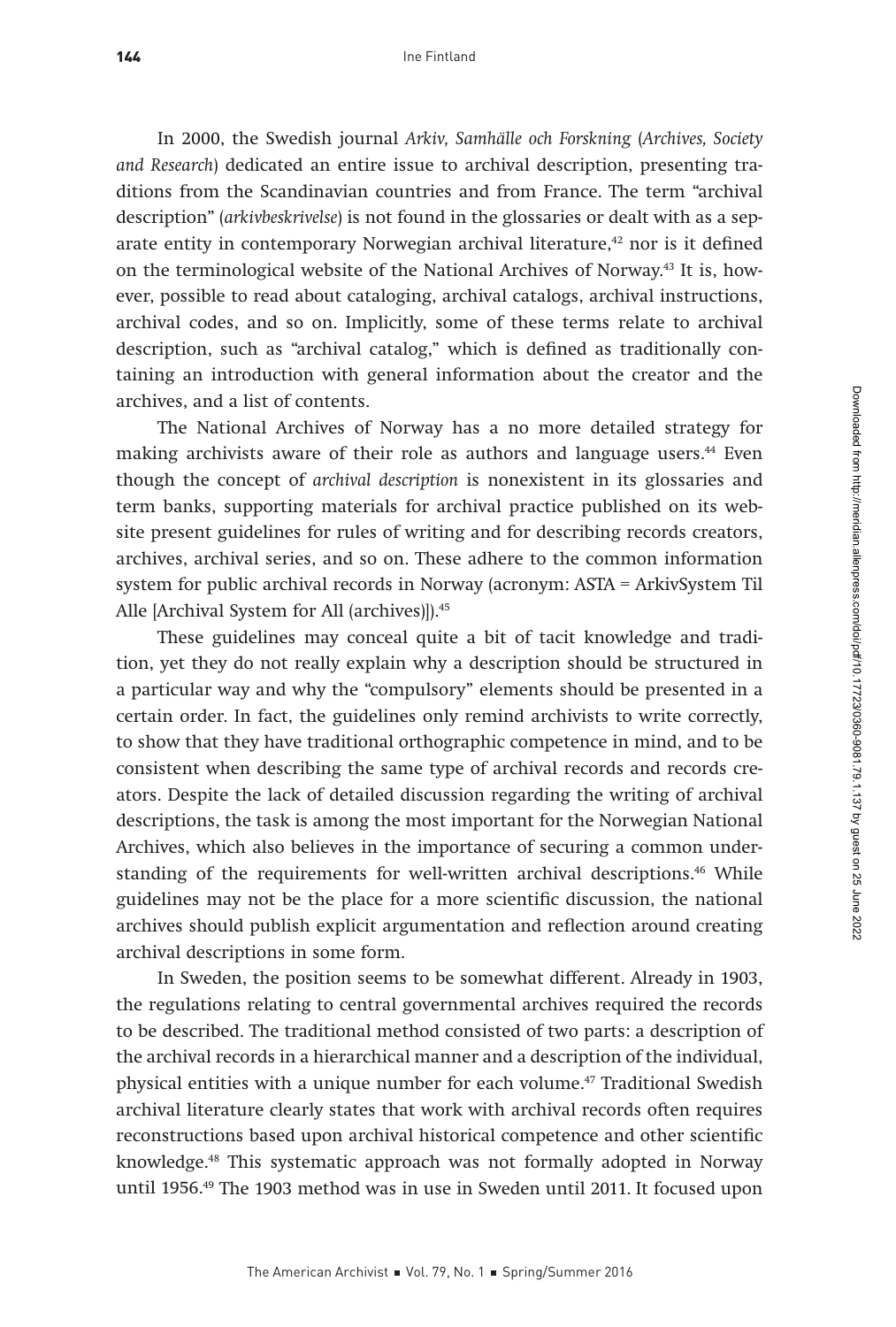In 2000, the Swedish journal Arkiv, Samhälle och Forskning (Archives, Society and Research) dedicated an entire issue to archival description, presenting traditions from the Scandinavian countries and from France. The term "archival description" (arkivbeskrivelse) is not found in the glossaries or dealt with as a separate entity in contemporary Norwegian archival literature,<sup>42</sup> nor is it defined on the terminological website of the National Archives of Norway.43 It is, however, possible to read about cataloging, archival catalogs, archival instructions, archival codes, and so on. Implicitly, some of these terms relate to archival description, such as "archival catalog," which is defined as traditionally containing an introduction with general information about the creator and the archives, and a list of contents.

The National Archives of Norway has a no more detailed strategy for making archivists aware of their role as authors and language users.<sup>44</sup> Even though the concept of archival description is nonexistent in its glossaries and term banks, supporting materials for archival practice published on its website present guidelines for rules of writing and for describing records creators, archives, archival series, and so on. These adhere to the common information system for public archival records in Norway (acronym: ASTA = ArkivSystem Til Alle [Archival System for All (archives)]).<sup>45</sup>

These guidelines may conceal quite a bit of tacit knowledge and tradition, yet they do not really explain why a description should be structured in a particular way and why the "compulsory" elements should be presented in a certain order. In fact, the guidelines only remind archivists to write correctly, to show that they have traditional orthographic competence in mind, and to be consistent when describing the same type of archival records and records creators. Despite the lack of detailed discussion regarding the writing of archival descriptions, the task is among the most important for the Norwegian National Archives, which also believes in the importance of securing a common understanding of the requirements for well-written archival descriptions.<sup>46</sup> While guidelines may not be the place for a more scientific discussion, the national archives should publish explicit argumentation and reflection around creating archival descriptions in some form.

In Sweden, the position seems to be somewhat different. Already in 1903, the regulations relating to central governmental archives required the records to be described. The traditional method consisted of two parts: a description of the archival records in a hierarchical manner and a description of the individual, physical entities with a unique number for each volume.47 Traditional Swedish archival literature clearly states that work with archival records often requires reconstructions based upon archival historical competence and other scientific knowledge.48 This systematic approach was not formally adopted in Norway until 1956.49 The 1903 method was in use in Sweden until 2011. It focused upon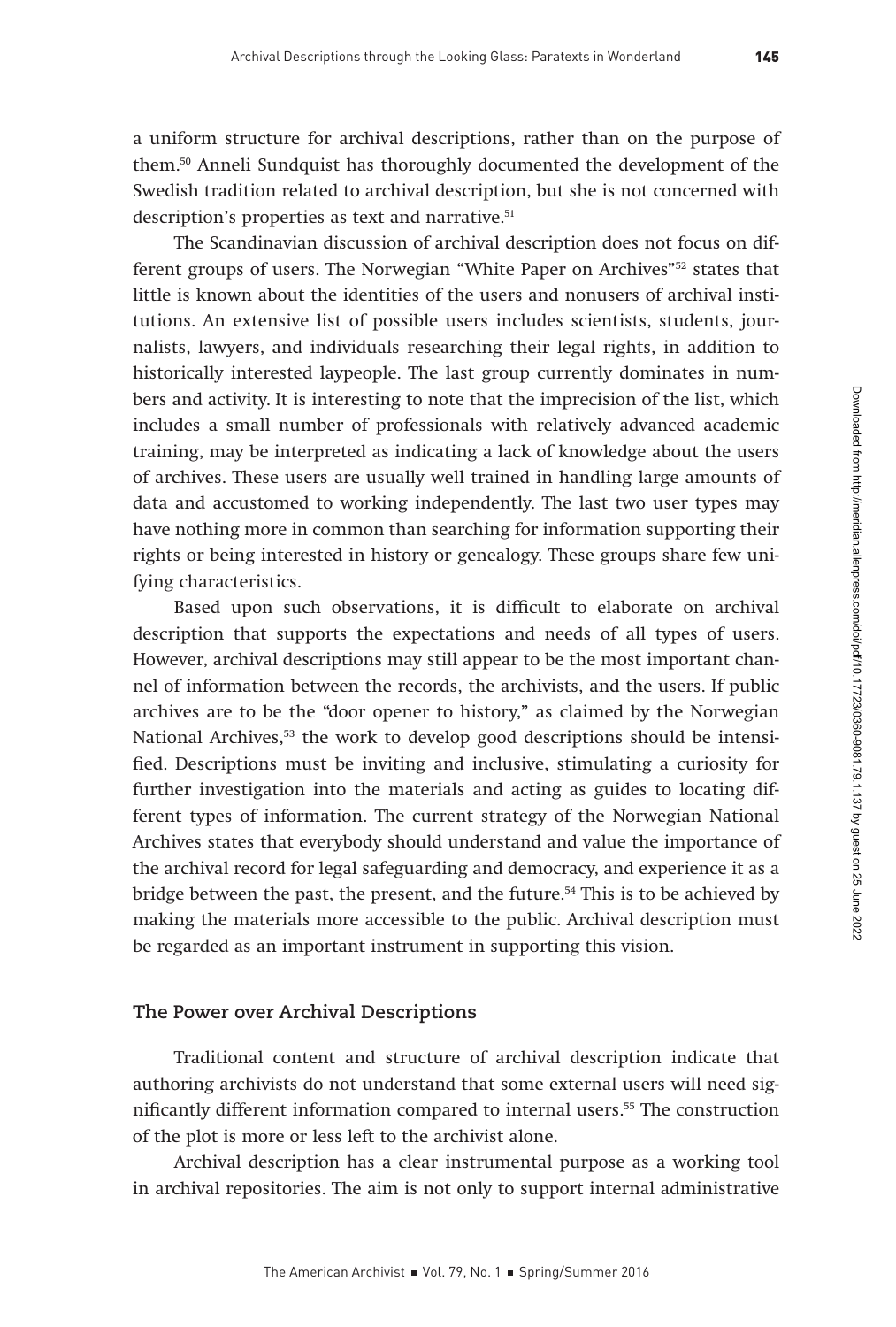a uniform structure for archival descriptions, rather than on the purpose of them.50 Anneli Sundquist has thoroughly documented the development of the Swedish tradition related to archival description, but she is not concerned with description's properties as text and narrative.<sup>51</sup>

The Scandinavian discussion of archival description does not focus on different groups of users. The Norwegian "White Paper on Archives"52 states that little is known about the identities of the users and nonusers of archival institutions. An extensive list of possible users includes scientists, students, journalists, lawyers, and individuals researching their legal rights, in addition to historically interested laypeople. The last group currently dominates in numbers and activity. It is interesting to note that the imprecision of the list, which includes a small number of professionals with relatively advanced academic training, may be interpreted as indicating a lack of knowledge about the users of archives. These users are usually well trained in handling large amounts of data and accustomed to working independently. The last two user types may have nothing more in common than searching for information supporting their rights or being interested in history or genealogy. These groups share few unifying characteristics.

Based upon such observations, it is difficult to elaborate on archival description that supports the expectations and needs of all types of users. However, archival descriptions may still appear to be the most important channel of information between the records, the archivists, and the users. If public archives are to be the "door opener to history," as claimed by the Norwegian National Archives, $53$  the work to develop good descriptions should be intensified. Descriptions must be inviting and inclusive, stimulating a curiosity for further investigation into the materials and acting as guides to locating different types of information. The current strategy of the Norwegian National Archives states that everybody should understand and value the importance of the archival record for legal safeguarding and democracy, and experience it as a bridge between the past, the present, and the future.<sup>54</sup> This is to be achieved by making the materials more accessible to the public. Archival description must be regarded as an important instrument in supporting this vision.

#### **The Power over Archival Descriptions**

Traditional content and structure of archival description indicate that authoring archivists do not understand that some external users will need significantly different information compared to internal users.<sup>55</sup> The construction of the plot is more or less left to the archivist alone.

Archival description has a clear instrumental purpose as a working tool in archival repositories. The aim is not only to support internal administrative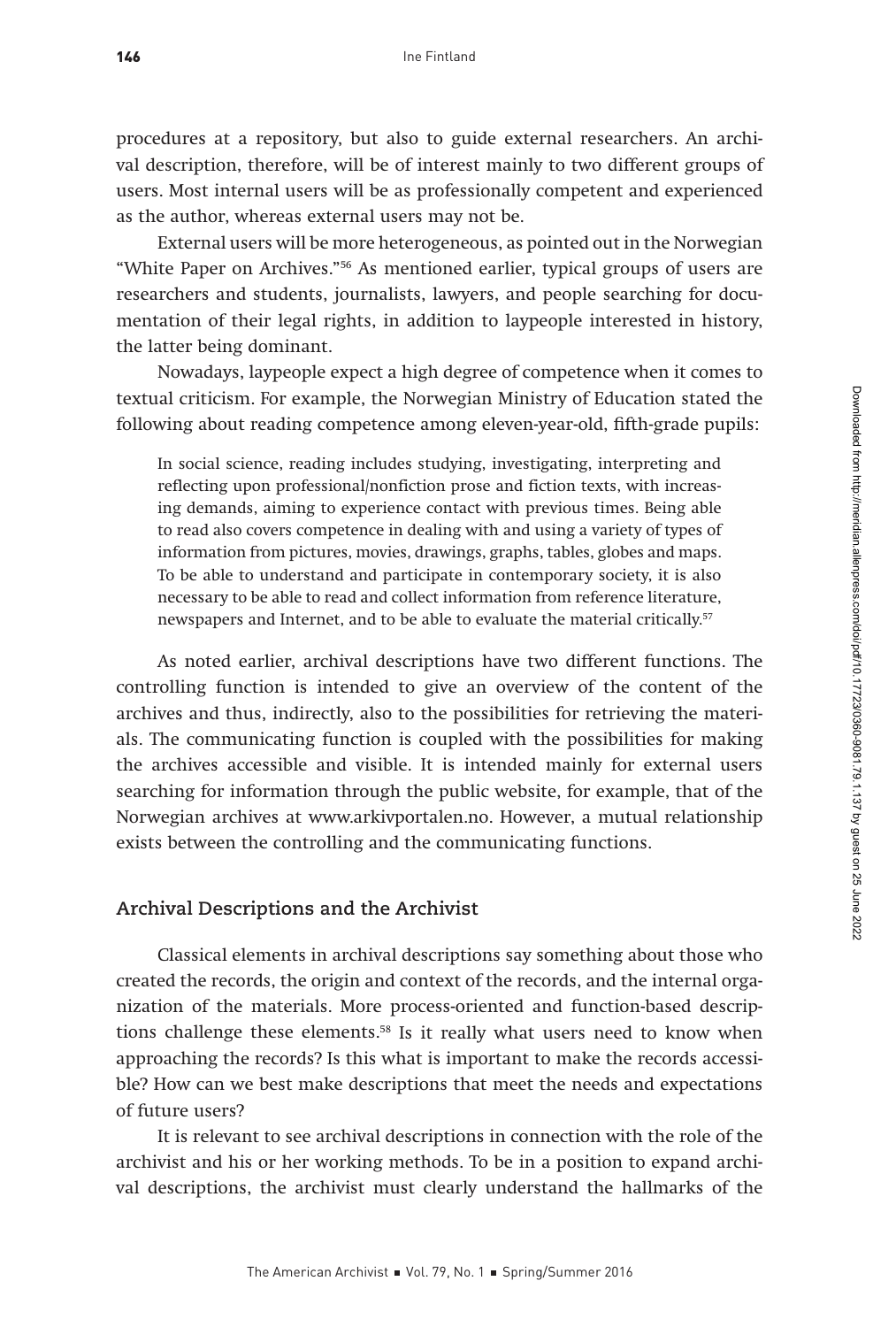procedures at a repository, but also to guide external researchers. An archival description, therefore, will be of interest mainly to two different groups of users. Most internal users will be as professionally competent and experienced

External users will be more heterogeneous, as pointed out in the Norwegian "White Paper on Archives."56 As mentioned earlier, typical groups of users are researchers and students, journalists, lawyers, and people searching for documentation of their legal rights, in addition to laypeople interested in history,

Nowadays, laypeople expect a high degree of competence when it comes to textual criticism. For example, the Norwegian Ministry of Education stated the following about reading competence among eleven-year-old, fifth-grade pupils:

as the author, whereas external users may not be.

the latter being dominant.

to read also covers competence in dealing with and using a variety of types of information from pictures, movies, drawings, graphs, tables, globes and maps. To be able to understand and participate in contemporary society, it is also necessary to be able to read and collect information from reference literature,

newspapers and Internet, and to be able to evaluate the material critically.<sup>57</sup>

In social science, reading includes studying, investigating, interpreting and reflecting upon professional/nonfiction prose and fiction texts, with increasing demands, aiming to experience contact with previous times. Being able

As noted earlier, archival descriptions have two different functions. The controlling function is intended to give an overview of the content of the archives and thus, indirectly, also to the possibilities for retrieving the materials. The communicating function is coupled with the possibilities for making the archives accessible and visible. It is intended mainly for external users searching for information through the public website, for example, that of the Norwegian archives at www.arkivportalen.no. However, a mutual relationship exists between the controlling and the communicating functions.

## **Archival Descriptions and the Archivist**

Classical elements in archival descriptions say something about those who created the records, the origin and context of the records, and the internal organization of the materials. More process-oriented and function-based descriptions challenge these elements.58 Is it really what users need to know when approaching the records? Is this what is important to make the records accessible? How can we best make descriptions that meet the needs and expectations of future users?

It is relevant to see archival descriptions in connection with the role of the archivist and his or her working methods. To be in a position to expand archival descriptions, the archivist must clearly understand the hallmarks of the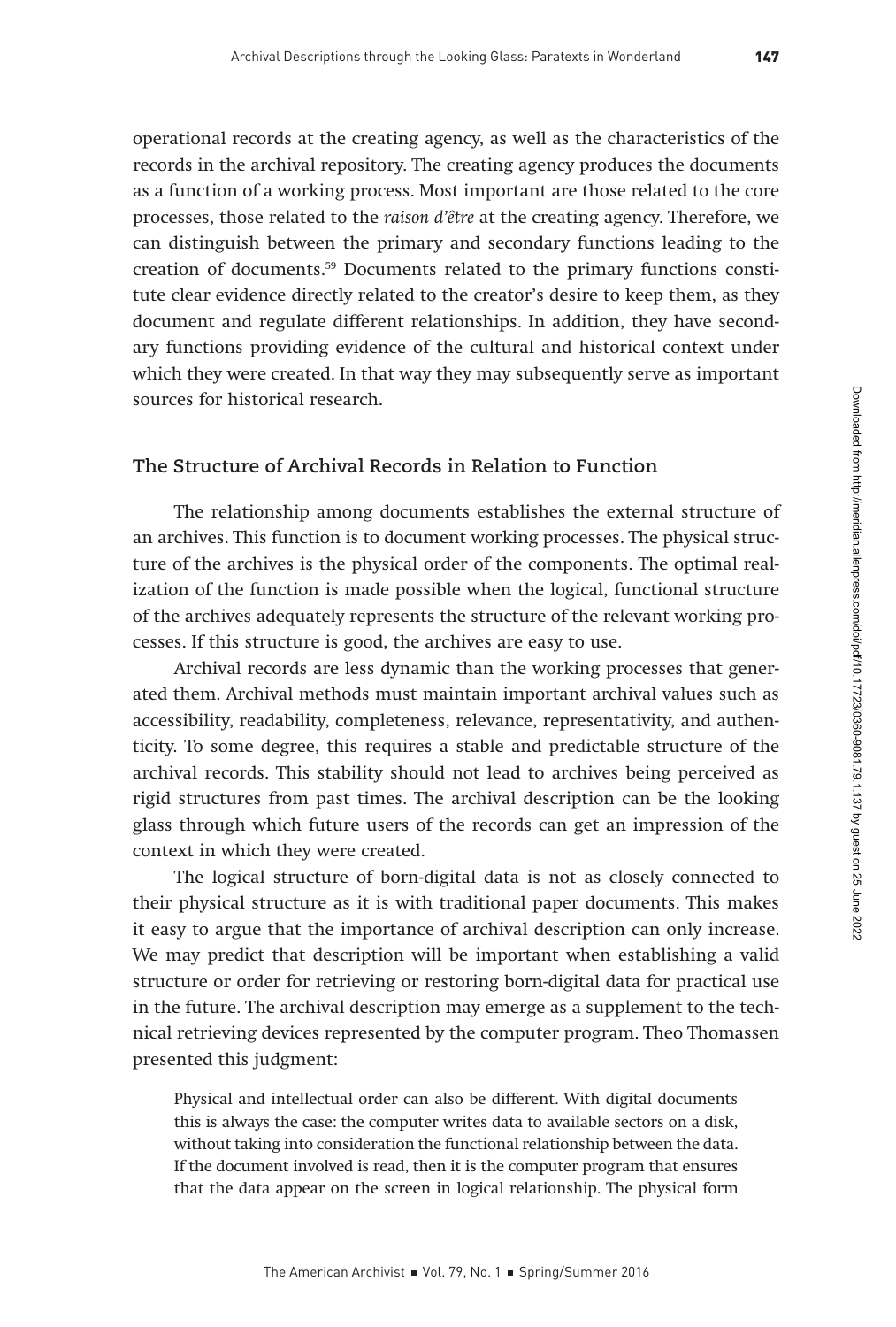operational records at the creating agency, as well as the characteristics of the records in the archival repository. The creating agency produces the documents as a function of a working process. Most important are those related to the core processes, those related to the raison d'être at the creating agency. Therefore, we can distinguish between the primary and secondary functions leading to the creation of documents.59 Documents related to the primary functions constitute clear evidence directly related to the creator's desire to keep them, as they document and regulate different relationships. In addition, they have secondary functions providing evidence of the cultural and historical context under which they were created. In that way they may subsequently serve as important sources for historical research.

## **The Structure of Archival Records in Relation to Function**

The relationship among documents establishes the external structure of an archives. This function is to document working processes. The physical structure of the archives is the physical order of the components. The optimal realization of the function is made possible when the logical, functional structure of the archives adequately represents the structure of the relevant working processes. If this structure is good, the archives are easy to use.

Archival records are less dynamic than the working processes that generated them. Archival methods must maintain important archival values such as accessibility, readability, completeness, relevance, representativity, and authenticity. To some degree, this requires a stable and predictable structure of the archival records. This stability should not lead to archives being perceived as rigid structures from past times. The archival description can be the looking glass through which future users of the records can get an impression of the context in which they were created.

The logical structure of born-digital data is not as closely connected to their physical structure as it is with traditional paper documents. This makes it easy to argue that the importance of archival description can only increase. We may predict that description will be important when establishing a valid structure or order for retrieving or restoring born-digital data for practical use in the future. The archival description may emerge as a supplement to the technical retrieving devices represented by the computer program. Theo Thomassen presented this judgment:

Physical and intellectual order can also be different. With digital documents this is always the case: the computer writes data to available sectors on a disk, without taking into consideration the functional relationship between the data. If the document involved is read, then it is the computer program that ensures that the data appear on the screen in logical relationship. The physical form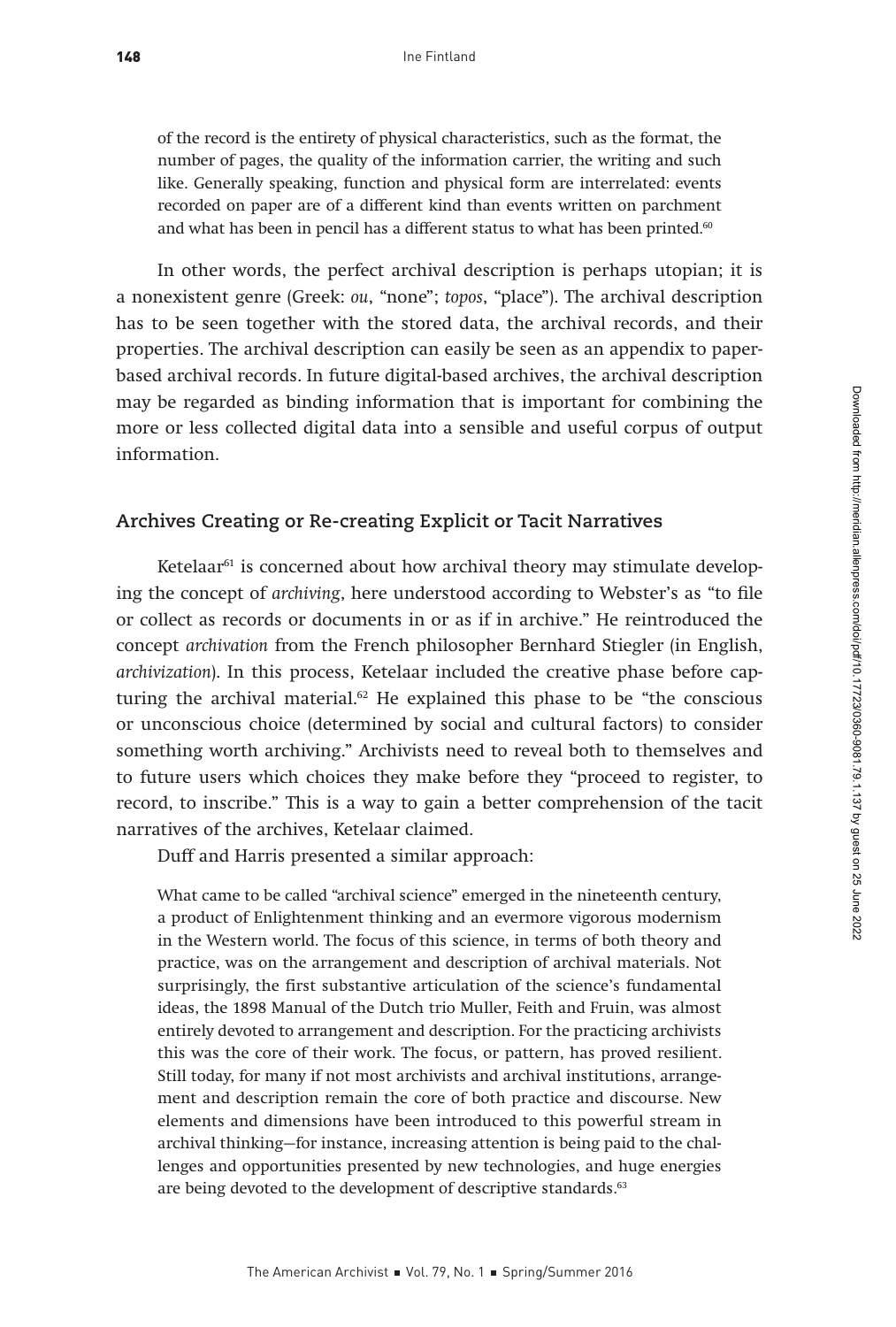of the record is the entirety of physical characteristics, such as the format, the number of pages, the quality of the information carrier, the writing and such like. Generally speaking, function and physical form are interrelated: events recorded on paper are of a different kind than events written on parchment and what has been in pencil has a different status to what has been printed.<sup>60</sup>

In other words, the perfect archival description is perhaps utopian; it is a nonexistent genre (Greek: ou, "none"; topos, "place"). The archival description has to be seen together with the stored data, the archival records, and their properties. The archival description can easily be seen as an appendix to paperbased archival records. In future digital-based archives, the archival description may be regarded as binding information that is important for combining the more or less collected digital data into a sensible and useful corpus of output information.

#### **Archives Creating or Re-creating Explicit or Tacit Narratives**

Ketelaar<sup>61</sup> is concerned about how archival theory may stimulate developing the concept of archiving, here understood according to Webster's as "to file or collect as records or documents in or as if in archive." He reintroduced the concept archivation from the French philosopher Bernhard Stiegler (in English, archivization). In this process, Ketelaar included the creative phase before capturing the archival material. $62$  He explained this phase to be "the conscious or unconscious choice (determined by social and cultural factors) to consider something worth archiving." Archivists need to reveal both to themselves and to future users which choices they make before they "proceed to register, to record, to inscribe." This is a way to gain a better comprehension of the tacit narratives of the archives, Ketelaar claimed.

Duff and Harris presented a similar approach:

What came to be called "archival science" emerged in the nineteenth century, a product of Enlightenment thinking and an evermore vigorous modernism in the Western world. The focus of this science, in terms of both theory and practice, was on the arrangement and description of archival materials. Not surprisingly, the first substantive articulation of the science's fundamental ideas, the 1898 Manual of the Dutch trio Muller, Feith and Fruin, was almost entirely devoted to arrangement and description. For the practicing archivists this was the core of their work. The focus, or pattern, has proved resilient. Still today, for many if not most archivists and archival institutions, arrangement and description remain the core of both practice and discourse. New elements and dimensions have been introduced to this powerful stream in archival thinking—for instance, increasing attention is being paid to the challenges and opportunities presented by new technologies, and huge energies are being devoted to the development of descriptive standards.<sup>63</sup>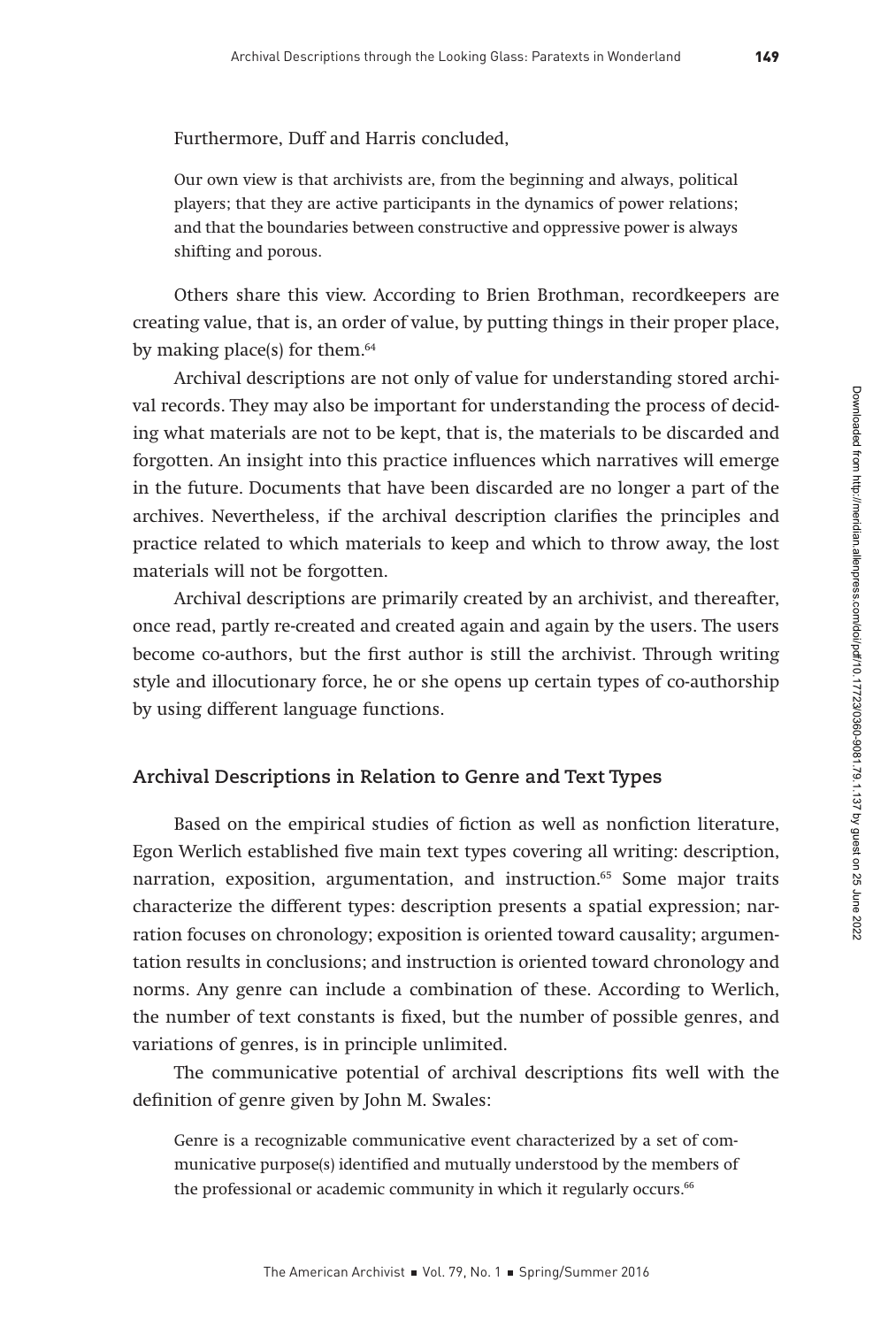Furthermore, Duff and Harris concluded,

Our own view is that archivists are, from the beginning and always, political players; that they are active participants in the dynamics of power relations; and that the boundaries between constructive and oppressive power is always shifting and porous.

Others share this view. According to Brien Brothman, recordkeepers are creating value, that is, an order of value, by putting things in their proper place, by making place(s) for them. $64$ 

Archival descriptions are not only of value for understanding stored archival records. They may also be important for understanding the process of deciding what materials are not to be kept, that is, the materials to be discarded and forgotten. An insight into this practice influences which narratives will emerge in the future. Documents that have been discarded are no longer a part of the archives. Nevertheless, if the archival description clarifies the principles and practice related to which materials to keep and which to throw away, the lost materials will not be forgotten.

Archival descriptions are primarily created by an archivist, and thereafter, once read, partly re-created and created again and again by the users. The users become co-authors, but the first author is still the archivist. Through writing style and illocutionary force, he or she opens up certain types of co-authorship by using different language functions.

## **Archival Descriptions in Relation to Genre and Text Types**

Based on the empirical studies of fiction as well as nonfiction literature, Egon Werlich established five main text types covering all writing: description, narration, exposition, argumentation, and instruction.<sup>65</sup> Some major traits characterize the different types: description presents a spatial expression; narration focuses on chronology; exposition is oriented toward causality; argumentation results in conclusions; and instruction is oriented toward chronology and norms. Any genre can include a combination of these. According to Werlich, the number of text constants is fixed, but the number of possible genres, and variations of genres, is in principle unlimited.

The communicative potential of archival descriptions fits well with the definition of genre given by John M. Swales:

Genre is a recognizable communicative event characterized by a set of communicative purpose(s) identified and mutually understood by the members of the professional or academic community in which it regularly occurs.<sup>66</sup>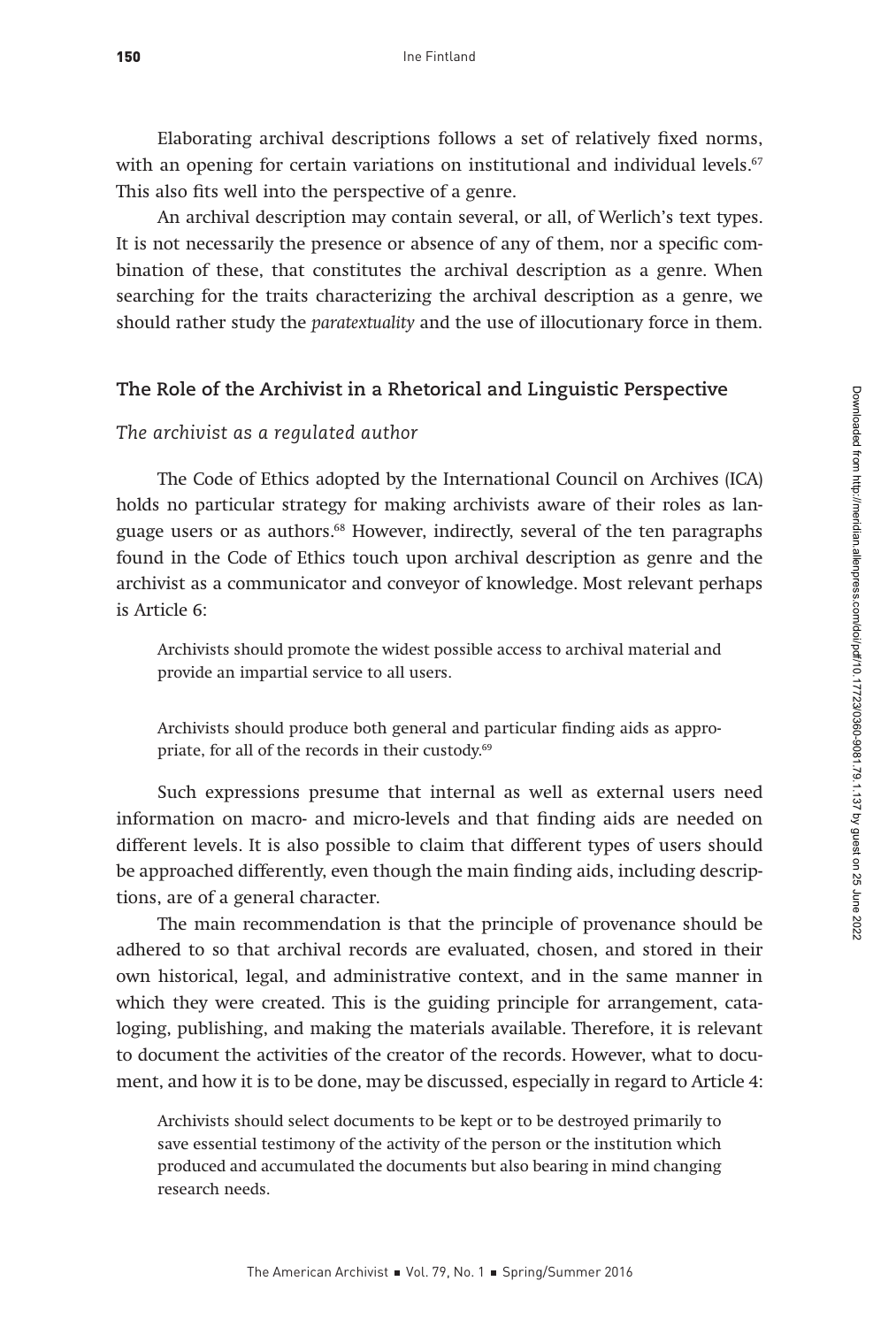Elaborating archival descriptions follows a set of relatively fixed norms, with an opening for certain variations on institutional and individual levels.<sup>67</sup> This also fits well into the perspective of a genre.

An archival description may contain several, or all, of Werlich's text types. It is not necessarily the presence or absence of any of them, nor a specific combination of these, that constitutes the archival description as a genre. When searching for the traits characterizing the archival description as a genre, we should rather study the paratextuality and the use of illocutionary force in them.

## **The Role of the Archivist in a Rhetorical and Linguistic Perspective**

#### *The archivist as a regulated author*

The Code of Ethics adopted by the International Council on Archives (ICA) holds no particular strategy for making archivists aware of their roles as language users or as authors.68 However, indirectly, several of the ten paragraphs found in the Code of Ethics touch upon archival description as genre and the archivist as a communicator and conveyor of knowledge. Most relevant perhaps is Article 6:

Archivists should promote the widest possible access to archival material and provide an impartial service to all users.

Archivists should produce both general and particular finding aids as appropriate, for all of the records in their custody.<sup>69</sup>

Such expressions presume that internal as well as external users need information on macro- and micro-levels and that finding aids are needed on different levels. It is also possible to claim that different types of users should be approached differently, even though the main finding aids, including descriptions, are of a general character.

The main recommendation is that the principle of provenance should be adhered to so that archival records are evaluated, chosen, and stored in their own historical, legal, and administrative context, and in the same manner in which they were created. This is the guiding principle for arrangement, cataloging, publishing, and making the materials available. Therefore, it is relevant to document the activities of the creator of the records. However, what to document, and how it is to be done, may be discussed, especially in regard to Article 4:

Archivists should select documents to be kept or to be destroyed primarily to save essential testimony of the activity of the person or the institution which produced and accumulated the documents but also bearing in mind changing research needs.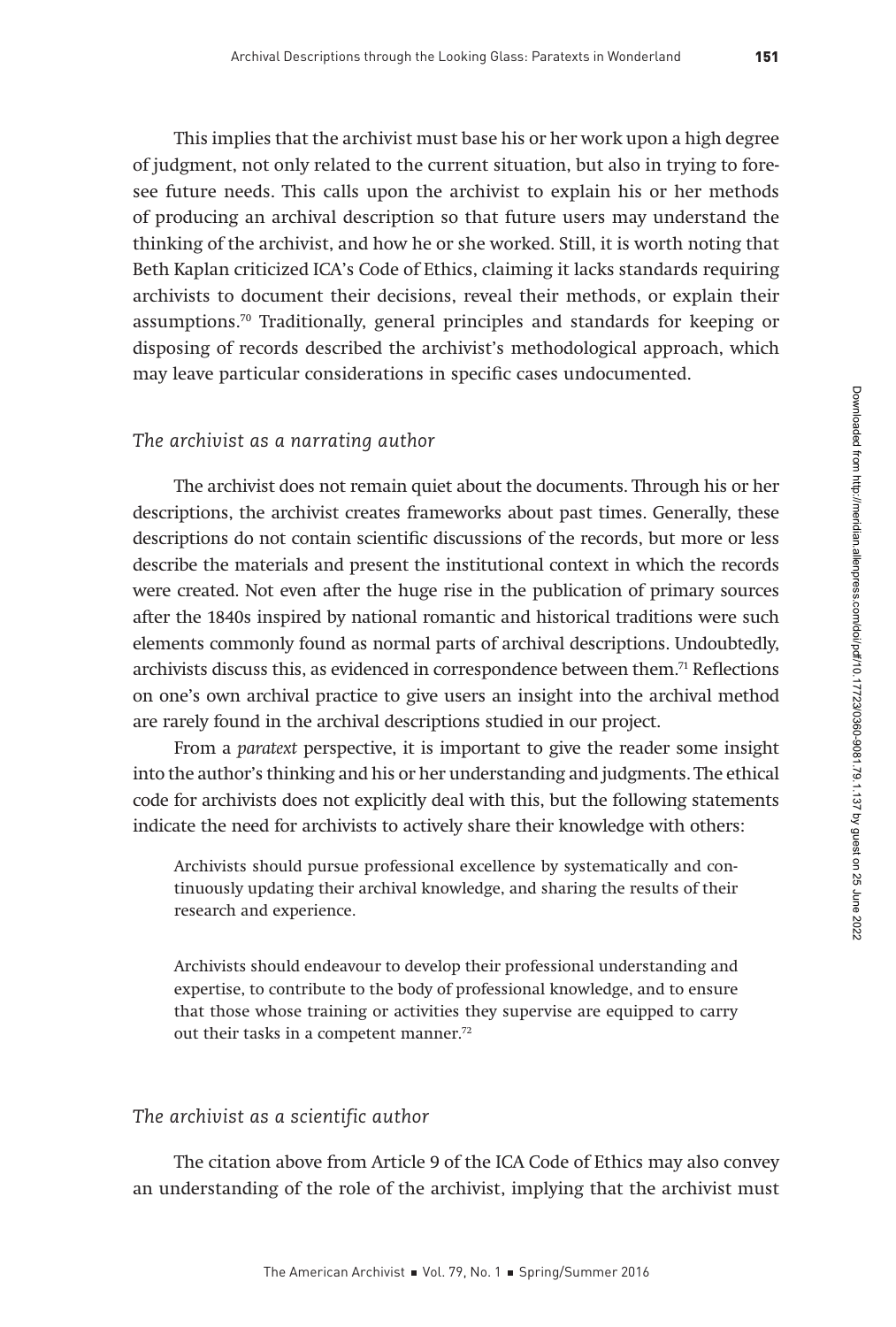This implies that the archivist must base his or her work upon a high degree of judgment, not only related to the current situation, but also in trying to foresee future needs. This calls upon the archivist to explain his or her methods of producing an archival description so that future users may understand the thinking of the archivist, and how he or she worked. Still, it is worth noting that Beth Kaplan criticized ICA's Code of Ethics, claiming it lacks standards requiring archivists to document their decisions, reveal their methods, or explain their assumptions.70 Traditionally, general principles and standards for keeping or disposing of records described the archivist's methodological approach, which may leave particular considerations in specific cases undocumented.

## *The archivist as a narrating author*

The archivist does not remain quiet about the documents. Through his or her descriptions, the archivist creates frameworks about past times. Generally, these descriptions do not contain scientific discussions of the records, but more or less describe the materials and present the institutional context in which the records were created. Not even after the huge rise in the publication of primary sources after the 1840s inspired by national romantic and historical traditions were such elements commonly found as normal parts of archival descriptions. Undoubtedly, archivists discuss this, as evidenced in correspondence between them.<sup>71</sup> Reflections on one's own archival practice to give users an insight into the archival method are rarely found in the archival descriptions studied in our project.

From a paratext perspective, it is important to give the reader some insight into the author's thinking and his or her understanding and judgments. The ethical code for archivists does not explicitly deal with this, but the following statements indicate the need for archivists to actively share their knowledge with others:

Archivists should pursue professional excellence by systematically and continuously updating their archival knowledge, and sharing the results of their research and experience.

Archivists should endeavour to develop their professional understanding and expertise, to contribute to the body of professional knowledge, and to ensure that those whose training or activities they supervise are equipped to carry out their tasks in a competent manner.<sup>72</sup>

## *The archivist as a scientific author*

The citation above from Article 9 of the ICA Code of Ethics may also convey an understanding of the role of the archivist, implying that the archivist must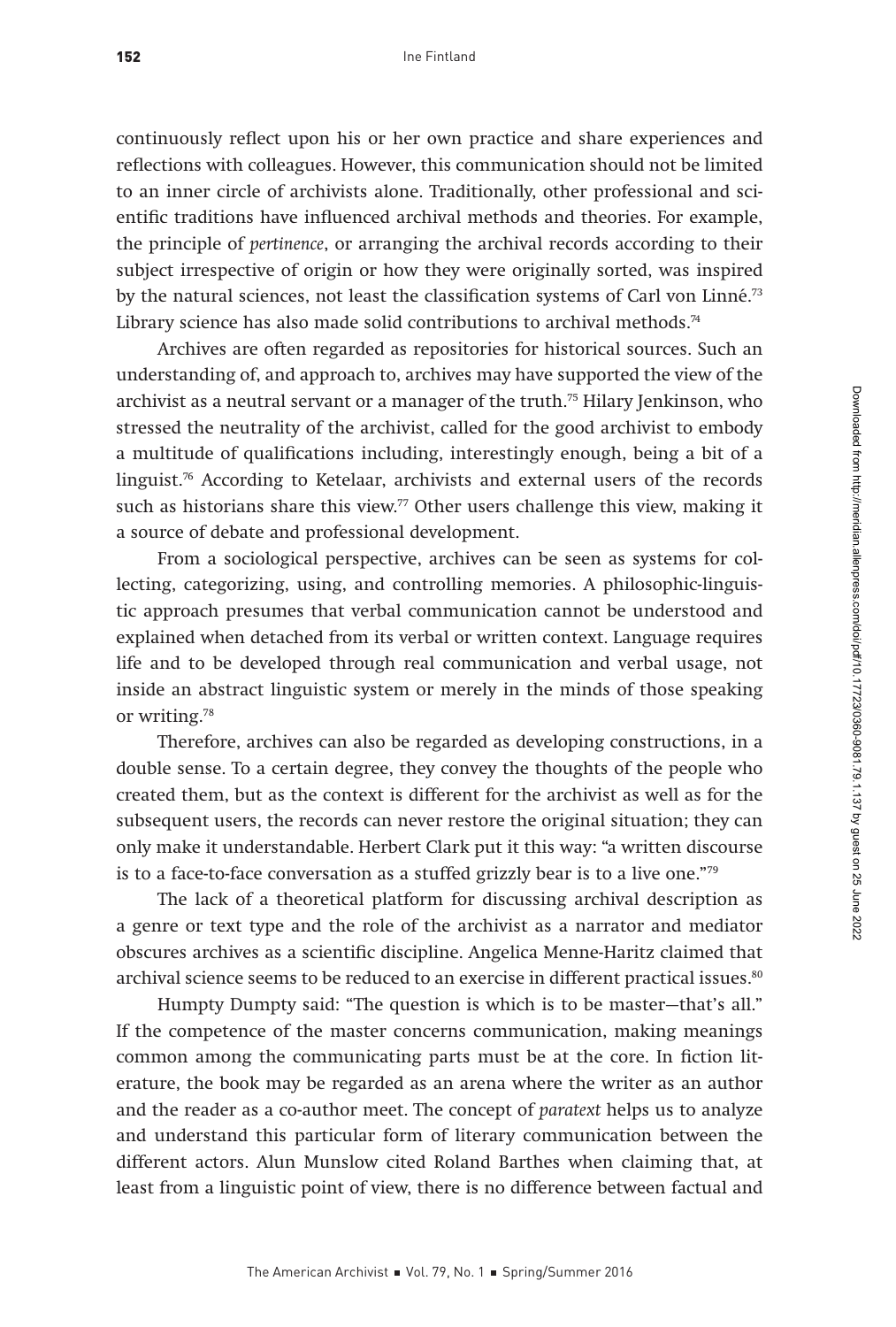continuously reflect upon his or her own practice and share experiences and reflections with colleagues. However, this communication should not be limited to an inner circle of archivists alone. Traditionally, other professional and scientific traditions have influenced archival methods and theories. For example, the principle of pertinence, or arranging the archival records according to their subject irrespective of origin or how they were originally sorted, was inspired by the natural sciences, not least the classification systems of Carl von Linné.<sup>73</sup> Library science has also made solid contributions to archival methods.<sup>74</sup>

Archives are often regarded as repositories for historical sources. Such an understanding of, and approach to, archives may have supported the view of the archivist as a neutral servant or a manager of the truth.<sup>75</sup> Hilary Jenkinson, who stressed the neutrality of the archivist, called for the good archivist to embody a multitude of qualifications including, interestingly enough, being a bit of a linguist. $\frac{76}{6}$  According to Ketelaar, archivists and external users of the records such as historians share this view.<sup>77</sup> Other users challenge this view, making it a source of debate and professional development.

From a sociological perspective, archives can be seen as systems for collecting, categorizing, using, and controlling memories. A philosophic-linguistic approach presumes that verbal communication cannot be understood and explained when detached from its verbal or written context. Language requires life and to be developed through real communication and verbal usage, not inside an abstract linguistic system or merely in the minds of those speaking or writing.78

Therefore, archives can also be regarded as developing constructions, in a double sense. To a certain degree, they convey the thoughts of the people who created them, but as the context is different for the archivist as well as for the subsequent users, the records can never restore the original situation; they can only make it understandable. Herbert Clark put it this way: "a written discourse is to a face-to-face conversation as a stuffed grizzly bear is to a live one."79

The lack of a theoretical platform for discussing archival description as a genre or text type and the role of the archivist as a narrator and mediator obscures archives as a scientific discipline. Angelica Menne-Haritz claimed that archival science seems to be reduced to an exercise in different practical issues.<sup>80</sup>

Humpty Dumpty said: "The question is which is to be master—that's all." If the competence of the master concerns communication, making meanings common among the communicating parts must be at the core. In fiction literature, the book may be regarded as an arena where the writer as an author and the reader as a co-author meet. The concept of paratext helps us to analyze and understand this particular form of literary communication between the different actors. Alun Munslow cited Roland Barthes when claiming that, at least from a linguistic point of view, there is no difference between factual and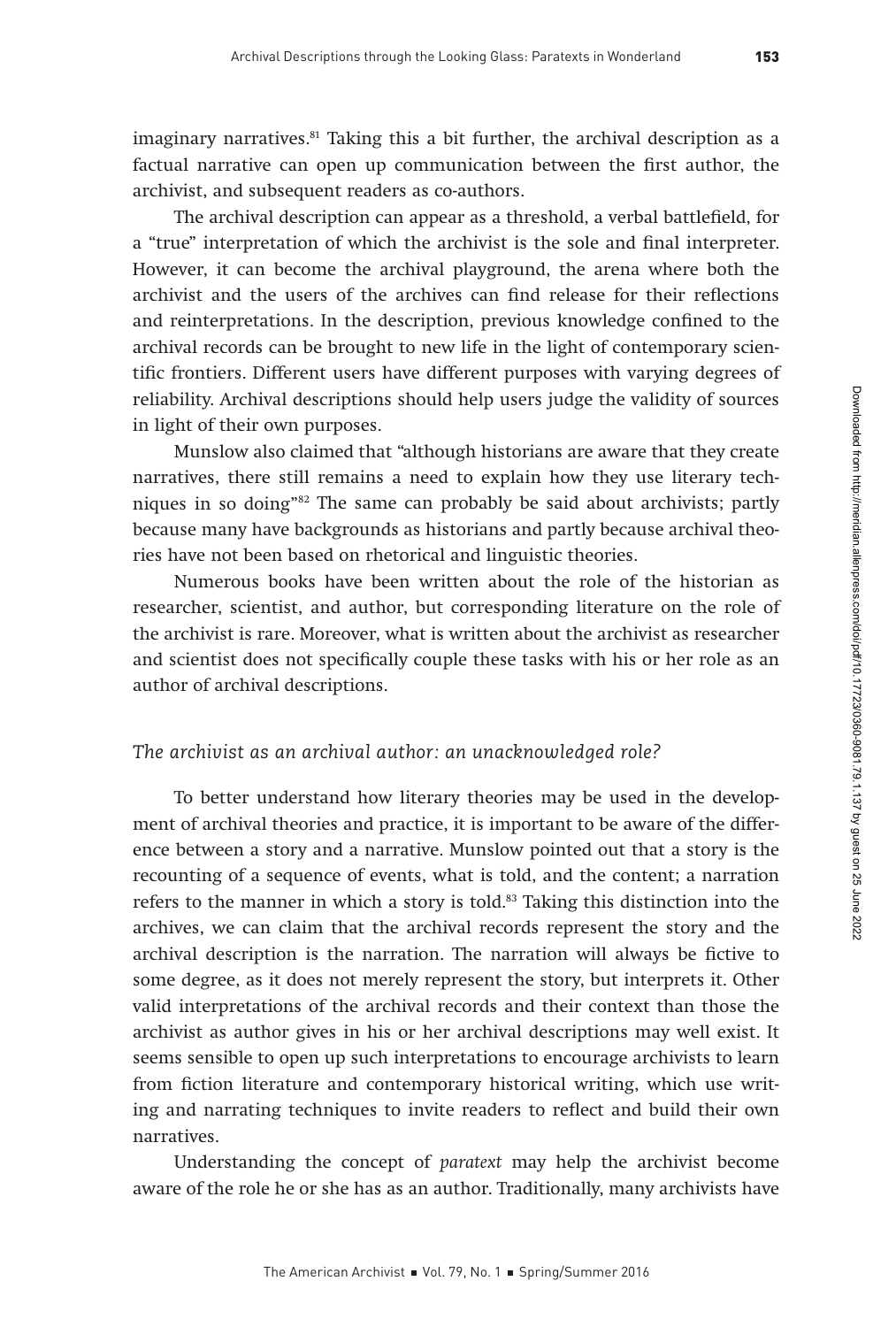imaginary narratives.<sup>81</sup> Taking this a bit further, the archival description as a factual narrative can open up communication between the first author, the archivist, and subsequent readers as co-authors.

The archival description can appear as a threshold, a verbal battlefield, for a "true" interpretation of which the archivist is the sole and final interpreter. However, it can become the archival playground, the arena where both the archivist and the users of the archives can find release for their reflections and reinterpretations. In the description, previous knowledge confined to the archival records can be brought to new life in the light of contemporary scientific frontiers. Different users have different purposes with varying degrees of reliability. Archival descriptions should help users judge the validity of sources in light of their own purposes.

Munslow also claimed that "although historians are aware that they create narratives, there still remains a need to explain how they use literary techniques in so doing"82 The same can probably be said about archivists; partly because many have backgrounds as historians and partly because archival theories have not been based on rhetorical and linguistic theories.

Numerous books have been written about the role of the historian as researcher, scientist, and author, but corresponding literature on the role of the archivist is rare. Moreover, what is written about the archivist as researcher and scientist does not specifically couple these tasks with his or her role as an author of archival descriptions.

#### *The archivist as an archival author: an unacknowledged role?*

To better understand how literary theories may be used in the development of archival theories and practice, it is important to be aware of the difference between a story and a narrative. Munslow pointed out that a story is the recounting of a sequence of events, what is told, and the content; a narration refers to the manner in which a story is told.<sup>83</sup> Taking this distinction into the archives, we can claim that the archival records represent the story and the archival description is the narration. The narration will always be fictive to some degree, as it does not merely represent the story, but interprets it. Other valid interpretations of the archival records and their context than those the archivist as author gives in his or her archival descriptions may well exist. It seems sensible to open up such interpretations to encourage archivists to learn from fiction literature and contemporary historical writing, which use writing and narrating techniques to invite readers to reflect and build their own narratives.

Understanding the concept of paratext may help the archivist become aware of the role he or she has as an author. Traditionally, many archivists have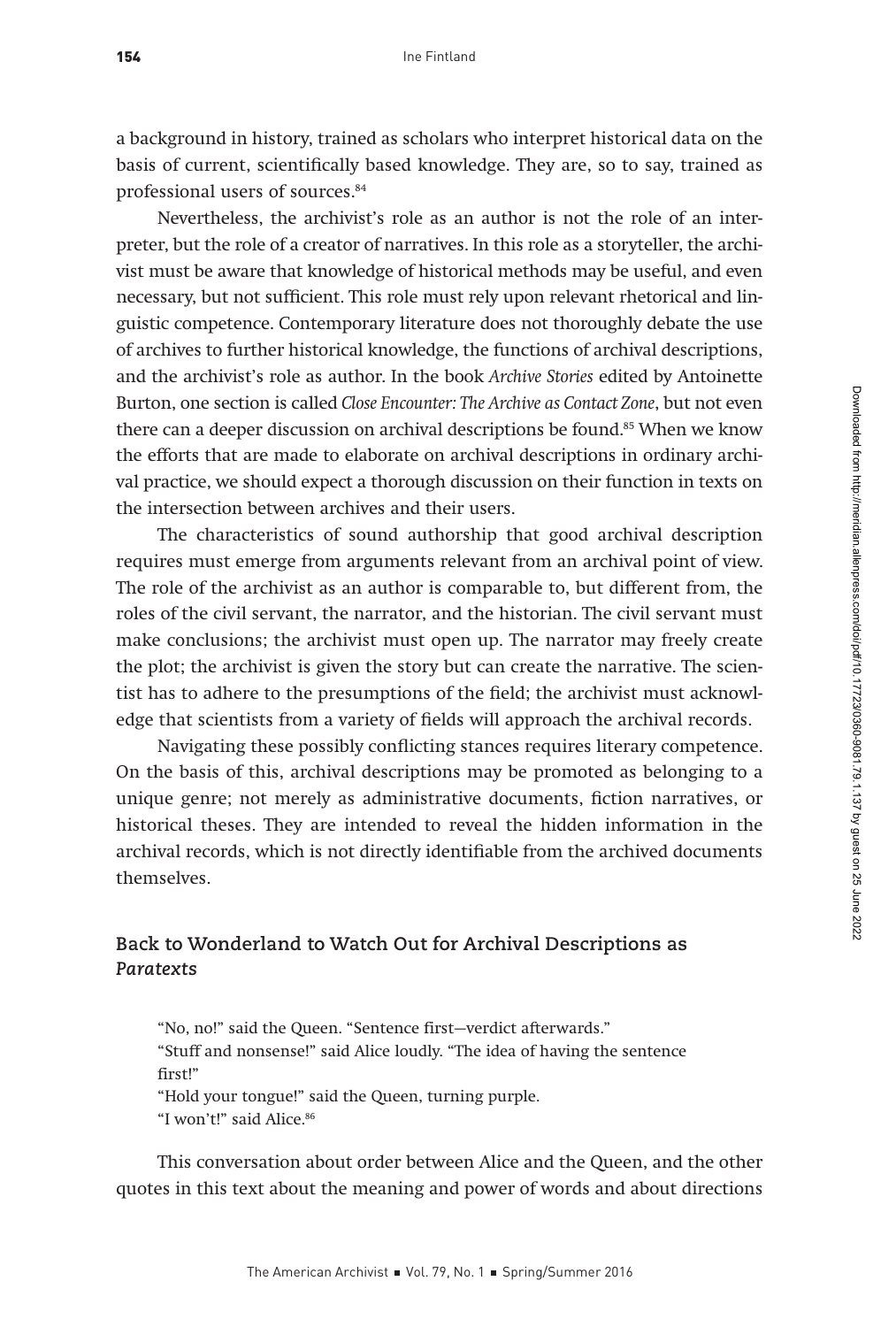a background in history, trained as scholars who interpret historical data on the basis of current, scientifically based knowledge. They are, so to say, trained as professional users of sources.84

Nevertheless, the archivist's role as an author is not the role of an interpreter, but the role of a creator of narratives. In this role as a storyteller, the archivist must be aware that knowledge of historical methods may be useful, and even necessary, but not sufficient. This role must rely upon relevant rhetorical and linguistic competence. Contemporary literature does not thoroughly debate the use of archives to further historical knowledge, the functions of archival descriptions, and the archivist's role as author. In the book Archive Stories edited by Antoinette Burton, one section is called Close Encounter: The Archive as Contact Zone, but not even there can a deeper discussion on archival descriptions be found.<sup>85</sup> When we know the efforts that are made to elaborate on archival descriptions in ordinary archival practice, we should expect a thorough discussion on their function in texts on the intersection between archives and their users.

The characteristics of sound authorship that good archival description requires must emerge from arguments relevant from an archival point of view. The role of the archivist as an author is comparable to, but different from, the roles of the civil servant, the narrator, and the historian. The civil servant must make conclusions; the archivist must open up. The narrator may freely create the plot; the archivist is given the story but can create the narrative. The scientist has to adhere to the presumptions of the field; the archivist must acknowledge that scientists from a variety of fields will approach the archival records.

Navigating these possibly conflicting stances requires literary competence. On the basis of this, archival descriptions may be promoted as belonging to a unique genre; not merely as administrative documents, fiction narratives, or historical theses. They are intended to reveal the hidden information in the archival records, which is not directly identifiable from the archived documents themselves.

## **Back to Wonderland to Watch Out for Archival Descriptions as**  *Paratexts*

"No, no!" said the Queen. "Sentence first—verdict afterwards." "Stuff and nonsense!" said Alice loudly. "The idea of having the sentence first!" "Hold your tongue!" said the Queen, turning purple. "I won't!" said Alice.<sup>86</sup>

This conversation about order between Alice and the Queen, and the other quotes in this text about the meaning and power of words and about directions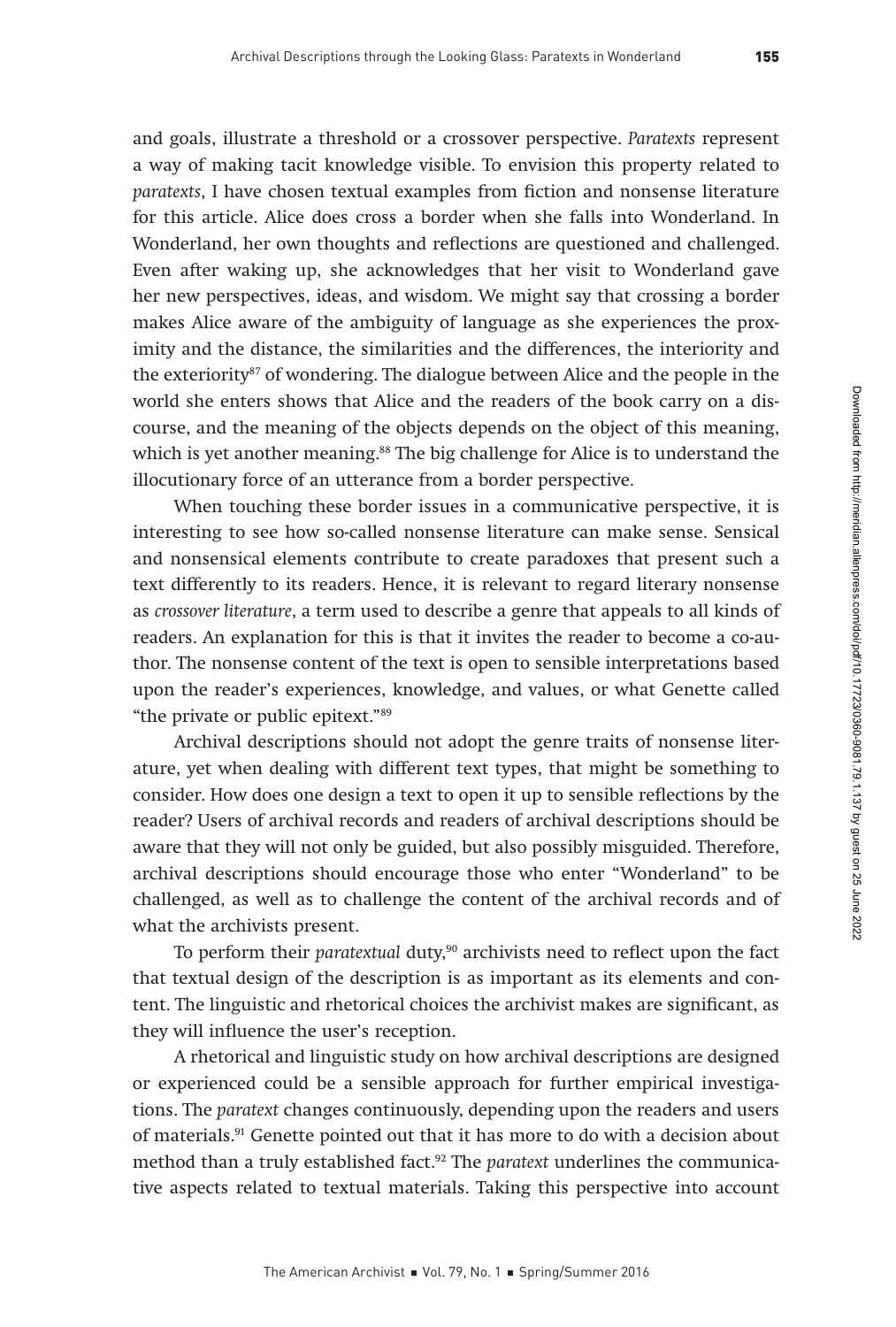and goals, illustrate a threshold or a crossover perspective. Paratexts represent a way of making tacit knowledge visible. To envision this property related to paratexts, I have chosen textual examples from fiction and nonsense literature for this article. Alice does cross a border when she falls into Wonderland. In Wonderland, her own thoughts and reflections are questioned and challenged. Even after waking up, she acknowledges that her visit to Wonderland gave her new perspectives, ideas, and wisdom. We might say that crossing a border makes Alice aware of the ambiguity of language as she experiences the proximity and the distance, the similarities and the differences, the interiority and the exteriority87 of wondering. The dialogue between Alice and the people in the world she enters shows that Alice and the readers of the book carry on a discourse, and the meaning of the objects depends on the object of this meaning, which is yet another meaning.<sup>88</sup> The big challenge for Alice is to understand the illocutionary force of an utterance from a border perspective.

When touching these border issues in a communicative perspective, it is interesting to see how so-called nonsense literature can make sense. Sensical and nonsensical elements contribute to create paradoxes that present such a text differently to its readers. Hence, it is relevant to regard literary nonsense as crossover literature, a term used to describe a genre that appeals to all kinds of readers. An explanation for this is that it invites the reader to become a co-author. The nonsense content of the text is open to sensible interpretations based upon the reader's experiences, knowledge, and values, or what Genette called "the private or public epitext."89

Archival descriptions should not adopt the genre traits of nonsense literature, yet when dealing with different text types, that might be something to consider. How does one design a text to open it up to sensible reflections by the reader? Users of archival records and readers of archival descriptions should be aware that they will not only be guided, but also possibly misguided. Therefore, archival descriptions should encourage those who enter "Wonderland" to be challenged, as well as to challenge the content of the archival records and of what the archivists present.

To perform their paratextual duty, $90$  archivists need to reflect upon the fact that textual design of the description is as important as its elements and content. The linguistic and rhetorical choices the archivist makes are significant, as they will influence the user's reception.

A rhetorical and linguistic study on how archival descriptions are designed or experienced could be a sensible approach for further empirical investigations. The paratext changes continuously, depending upon the readers and users of materials.91 Genette pointed out that it has more to do with a decision about method than a truly established fact.<sup>92</sup> The *paratext* underlines the communicative aspects related to textual materials. Taking this perspective into account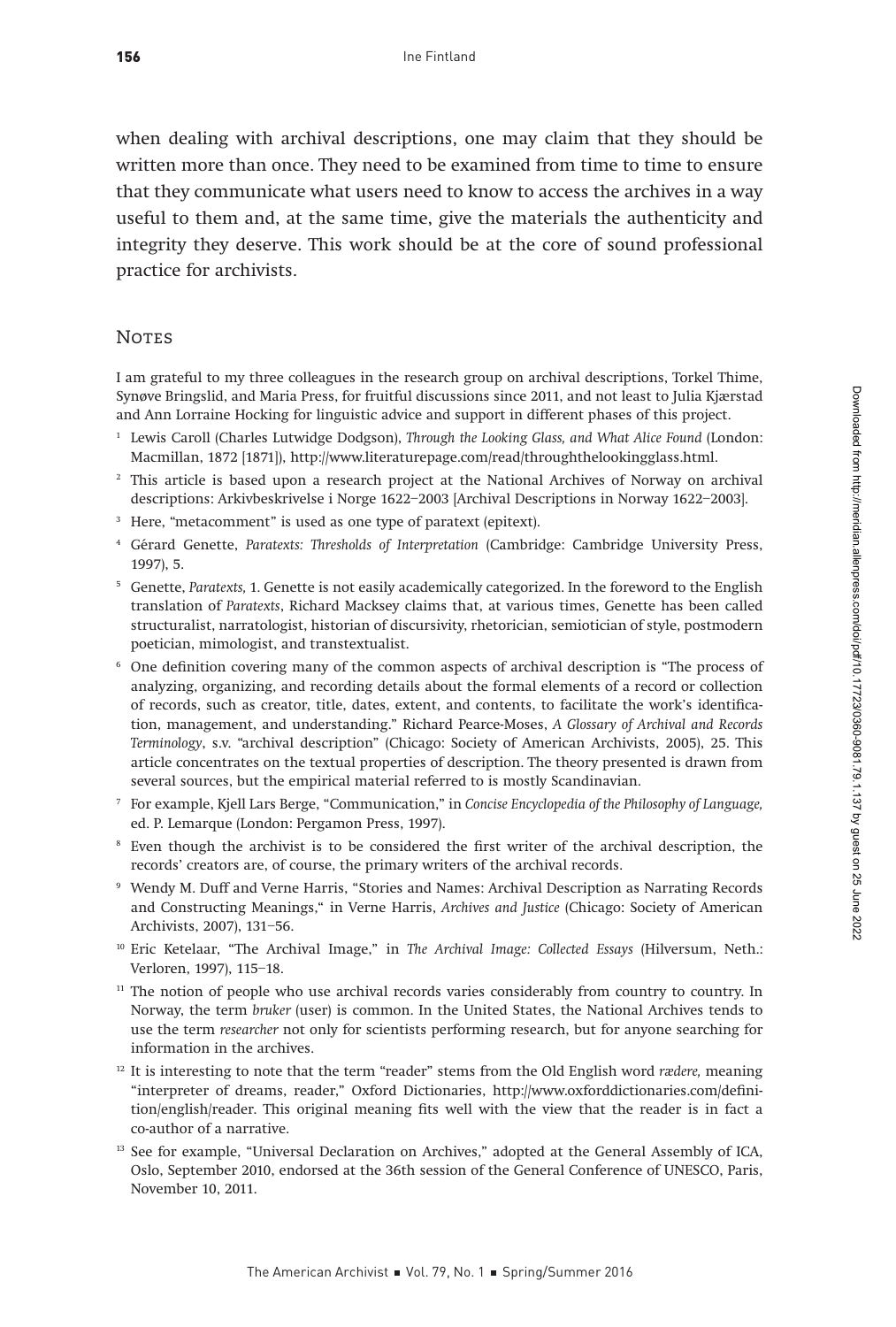when dealing with archival descriptions, one may claim that they should be written more than once. They need to be examined from time to time to ensure that they communicate what users need to know to access the archives in a way useful to them and, at the same time, give the materials the authenticity and integrity they deserve. This work should be at the core of sound professional practice for archivists.

#### **NOTES**

I am grateful to my three colleagues in the research group on archival descriptions, Torkel Thime, Synøve Bringslid, and Maria Press, for fruitful discussions since 2011, and not least to Julia Kjærstad and Ann Lorraine Hocking for linguistic advice and support in different phases of this project.

- <sup>1</sup> Lewis Caroll (Charles Lutwidge Dodgson), Through the Looking Glass, and What Alice Found (London: Macmillan, 1872 [1871]), http://www.literaturepage.com/read/throughthelookingglass.html.
- <sup>2</sup> This article is based upon a research project at the National Archives of Norway on archival descriptions: Arkivbeskrivelse i Norge 1622–2003 [Archival Descriptions in Norway 1622–2003].
- <sup>3</sup> Here, "metacomment" is used as one type of paratext (epitext).
- <sup>4</sup> Gérard Genette, Paratexts: Thresholds of Interpretation (Cambridge: Cambridge University Press, 1997), 5.
- <sup>5</sup> Genette, Paratexts, 1. Genette is not easily academically categorized. In the foreword to the English translation of Paratexts, Richard Macksey claims that, at various times, Genette has been called structuralist, narratologist, historian of discursivity, rhetorician, semiotician of style, postmodern poetician, mimologist, and transtextualist.
- <sup>6</sup> One definition covering many of the common aspects of archival description is "The process of analyzing, organizing, and recording details about the formal elements of a record or collection of records, such as creator, title, dates, extent, and contents, to facilitate the work's identification, management, and understanding." Richard Pearce-Moses, A Glossary of Archival and Records Terminology, s.v. "archival description" (Chicago: Society of American Archivists, 2005), 25. This article concentrates on the textual properties of description. The theory presented is drawn from several sources, but the empirical material referred to is mostly Scandinavian.
- <sup>7</sup> For example, Kjell Lars Berge, "Communication," in Concise Encyclopedia of the Philosophy of Language, ed. P. Lemarque (London: Pergamon Press, 1997).
- <sup>8</sup> Even though the archivist is to be considered the first writer of the archival description, the records' creators are, of course, the primary writers of the archival records.
- <sup>9</sup> Wendy M. Duff and Verne Harris, "Stories and Names: Archival Description as Narrating Records and Constructing Meanings," in Verne Harris, Archives and Justice (Chicago: Society of American Archivists, 2007), 131–56.
- <sup>10</sup> Eric Ketelaar, "The Archival Image," in The Archival Image: Collected Essays (Hilversum, Neth.: Verloren, 1997), 115–18.
- <sup>11</sup> The notion of people who use archival records varies considerably from country to country. In Norway, the term bruker (user) is common. In the United States, the National Archives tends to use the term researcher not only for scientists performing research, but for anyone searching for information in the archives.
- $12$  It is interesting to note that the term "reader" stems from the Old English word rædere, meaning "interpreter of dreams, reader," Oxford Dictionaries, http://www.oxforddictionaries.com/definition/english/reader. This original meaning fits well with the view that the reader is in fact a co-author of a narrative.
- <sup>13</sup> See for example, "Universal Declaration on Archives," adopted at the General Assembly of ICA, Oslo, September 2010, endorsed at the 36th session of the General Conference of UNESCO, Paris, November 10, 2011.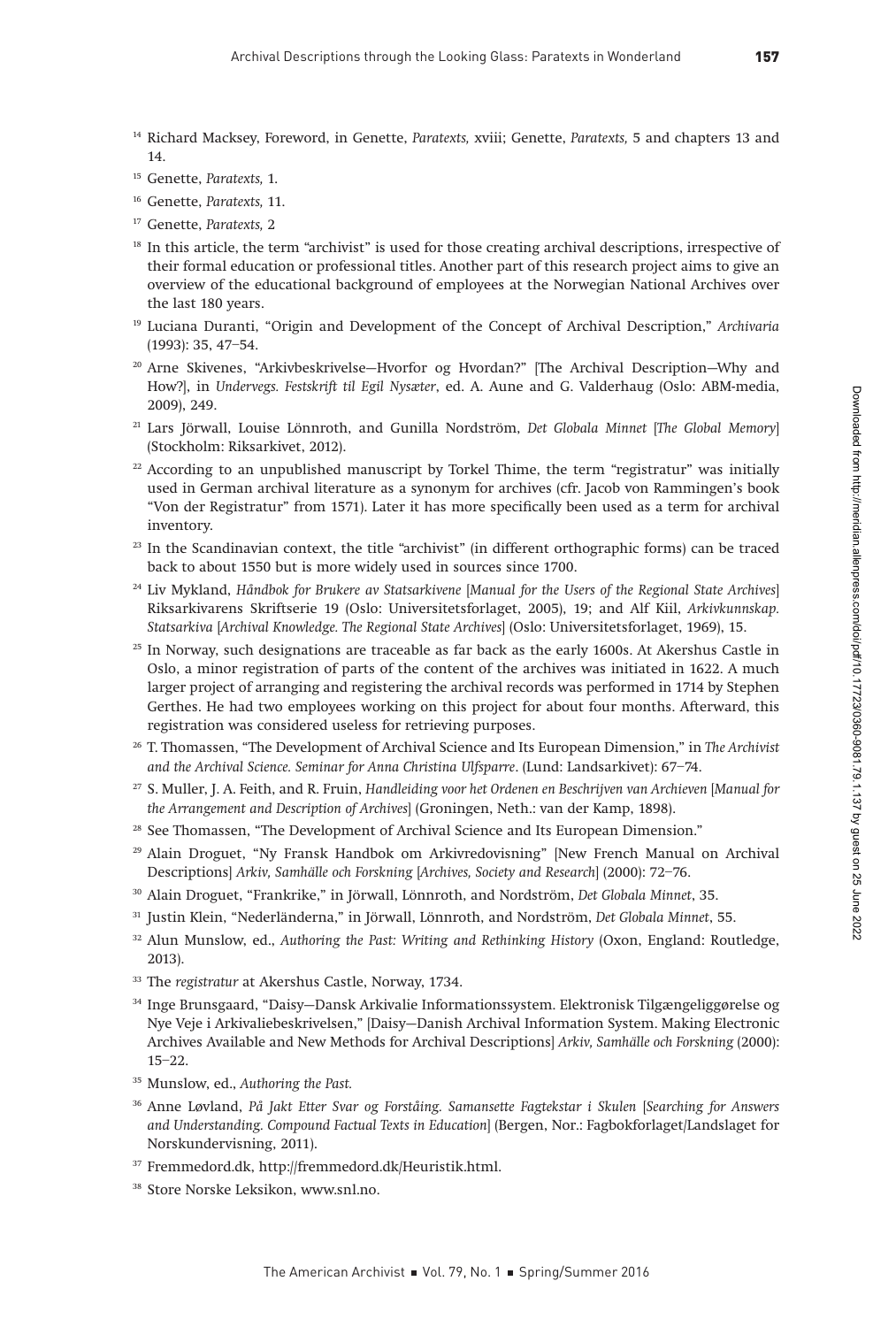- <sup>14</sup> Richard Macksey, Foreword, in Genette, Paratexts, xviii; Genette, Paratexts, 5 and chapters 13 and 14.
- <sup>15</sup> Genette, Paratexts, 1.
- <sup>16</sup> Genette, Paratexts, 11.
- <sup>17</sup> Genette, Paratexts, 2
- <sup>18</sup> In this article, the term "archivist" is used for those creating archival descriptions, irrespective of their formal education or professional titles. Another part of this research project aims to give an overview of the educational background of employees at the Norwegian National Archives over the last 180 years.
- <sup>19</sup> Luciana Duranti, "Origin and Development of the Concept of Archival Description," Archivaria (1993): 35, 47–54.
- <sup>20</sup> Arne Skivenes, "Arkivbeskrivelse—Hvorfor og Hvordan?" [The Archival Description—Why and How?], in Undervegs. Festskrift til Egil Nysæter, ed. A. Aune and G. Valderhaug (Oslo: ABM-media, 2009), 249.
- <sup>21</sup> Lars Jörwall, Louise Lönnroth, and Gunilla Nordström, Det Globala Minnet [The Global Memory] (Stockholm: Riksarkivet, 2012).
- $22$  According to an unpublished manuscript by Torkel Thime, the term "registratur" was initially used in German archival literature as a synonym for archives (cfr. Jacob von Rammingen's book "Von der Registratur" from 1571). Later it has more specifically been used as a term for archival inventory.
- <sup>23</sup> In the Scandinavian context, the title "archivist" (in different orthographic forms) can be traced back to about 1550 but is more widely used in sources since 1700.
- <sup>24</sup> Liv Mykland, Håndbok for Brukere av Statsarkivene [Manual for the Users of the Regional State Archives] Riksarkivarens Skriftserie 19 (Oslo: Universitetsforlaget, 2005), 19; and Alf Kiil, Arkivkunnskap. Statsarkiva [Archival Knowledge. The Regional State Archives] (Oslo: Universitetsforlaget, 1969), 15.
- $25$  In Norway, such designations are traceable as far back as the early 1600s. At Akershus Castle in Oslo, a minor registration of parts of the content of the archives was initiated in 1622. A much larger project of arranging and registering the archival records was performed in 1714 by Stephen Gerthes. He had two employees working on this project for about four months. Afterward, this registration was considered useless for retrieving purposes.
- <sup>26</sup> T. Thomassen, "The Development of Archival Science and Its European Dimension," in The Archivist and the Archival Science. Seminar for Anna Christina Ulfsparre. (Lund: Landsarkivet): 67–74.
- <sup>27</sup> S. Muller, J. A. Feith, and R. Fruin, Handleiding voor het Ordenen en Beschrijven van Archieven [Manual for the Arrangement and Description of Archives] (Groningen, Neth.: van der Kamp, 1898).
- <sup>28</sup> See Thomassen, "The Development of Archival Science and Its European Dimension."
- <sup>29</sup> Alain Droguet, "Ny Fransk Handbok om Arkivredovisning" [New French Manual on Archival Descriptions] Arkiv, Samhälle och Forskning [Archives, Society and Research] (2000): 72–76.
- <sup>30</sup> Alain Droguet, "Frankrike," in Jörwall, Lönnroth, and Nordström, Det Globala Minnet, 35.
- <sup>31</sup> Justin Klein, "Nederländerna," in Jörwall, Lönnroth, and Nordström, Det Globala Minnet, 55.
- <sup>32</sup> Alun Munslow, ed., Authoring the Past: Writing and Rethinking History (Oxon, England: Routledge, 2013).
- <sup>33</sup> The registratur at Akershus Castle, Norway, 1734.
- <sup>34</sup> Inge Brunsgaard, "Daisy—Dansk Arkivalie Informationssystem. Elektronisk Tilgængeliggørelse og Nye Veje i Arkivaliebeskrivelsen," [Daisy—Danish Archival Information System. Making Electronic Archives Available and New Methods for Archival Descriptions] Arkiv, Samhälle och Forskning (2000): 15–22.
- <sup>35</sup> Munslow, ed., Authoring the Past.
- <sup>36</sup> Anne Løvland, På Jakt Etter Svar og Forståing. Samansette Fagtekstar i Skulen [Searching for Answers and Understanding. Compound Factual Texts in Education] (Bergen, Nor.: Fagbokforlaget/Landslaget for Norskundervisning, 2011).
- <sup>37</sup> Fremmedord.dk, http://fremmedord.dk/Heuristik.html.
- <sup>38</sup> Store Norske Leksikon, www.snl.no.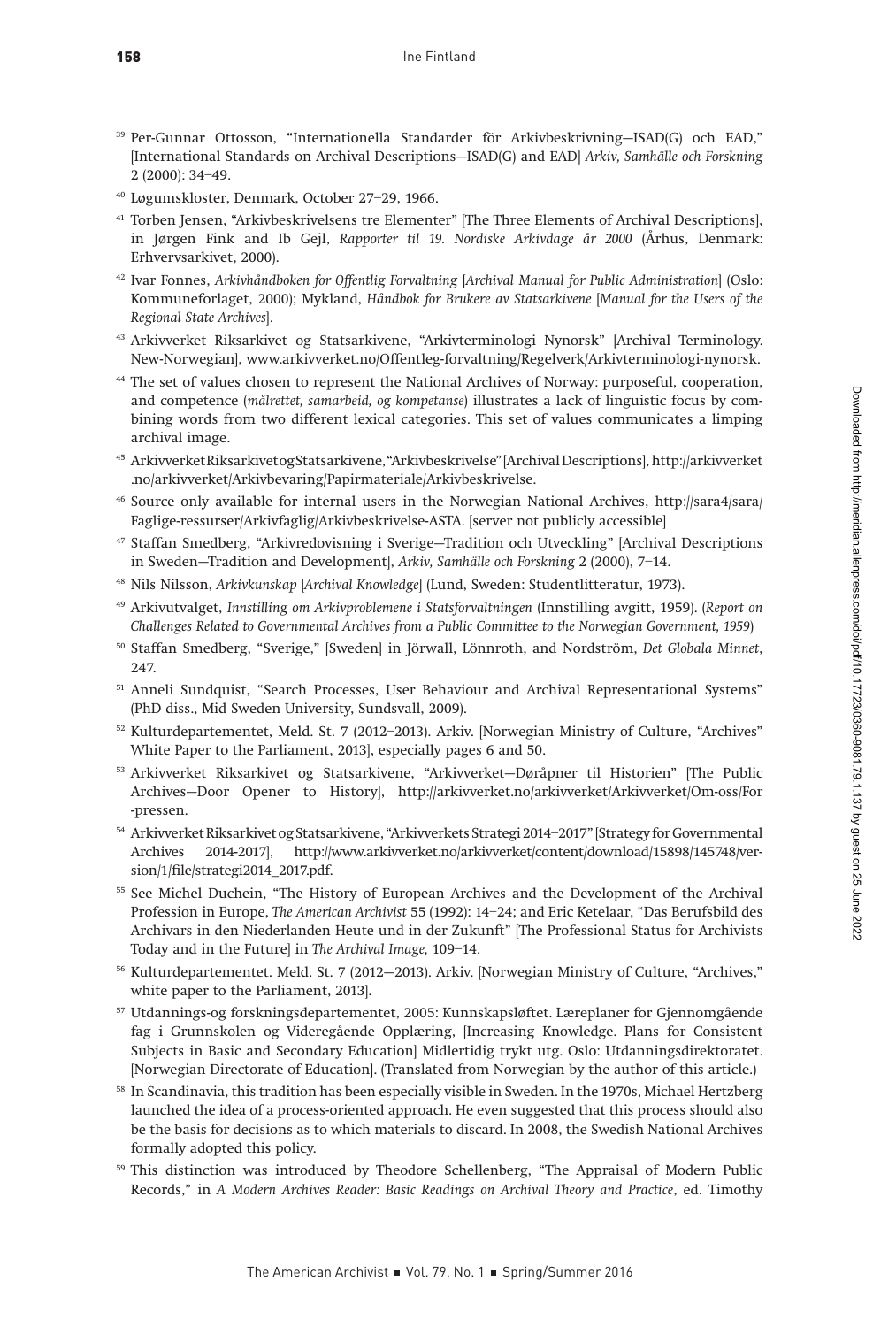- <sup>39</sup> Per-Gunnar Ottosson, "Internationella Standarder för Arkivbeskrivning—ISAD(G) och EAD," [International Standards on Archival Descriptions—ISAD(G) and EAD] Arkiv, Samhälle och Forskning 2 (2000): 34–49.
- <sup>40</sup> Løgumskloster, Denmark, October 27–29, 1966.
- <sup>41</sup> Torben Jensen, "Arkivbeskrivelsens tre Elementer" [The Three Elements of Archival Descriptions], in Jørgen Fink and Ib Gejl, Rapporter til 19. Nordiske Arkivdage år 2000 (Århus, Denmark: Erhvervsarkivet, 2000).
- <sup>42</sup> Ivar Fonnes, Arkivhåndboken for Offentlig Forvaltning [Archival Manual for Public Administration] (Oslo: Kommuneforlaget, 2000); Mykland, Håndbok for Brukere av Statsarkivene [Manual for the Users of the Regional State Archives].
- <sup>43</sup> Arkivverket Riksarkivet og Statsarkivene, "Arkivterminologi Nynorsk" [Archival Terminology. New-Norwegian], www.arkivverket.no/Offentleg-forvaltning/Regelverk/Arkivterminologi-nynorsk.
- <sup>44</sup> The set of values chosen to represent the National Archives of Norway: purposeful, cooperation, and competence (målrettet, samarbeid, og kompetanse) illustrates a lack of linguistic focus by combining words from two different lexical categories. This set of values communicates a limping archival image.
- <sup>45</sup> Arkivverket Riksarkivet og Statsarkivene, "Arkivbeskrivelse" [Archival Descriptions], http://arkivverket .no/arkivverket/Arkivbevaring/Papirmateriale/Arkivbeskrivelse.
- <sup>46</sup> Source only available for internal users in the Norwegian National Archives, http://sara4/sara/ Faglige-ressurser/Arkivfaglig/Arkivbeskrivelse-ASTA. [server not publicly accessible]
- <sup>47</sup> Staffan Smedberg, "Arkivredovisning i Sverige—Tradition och Utveckling" [Archival Descriptions in Sweden—Tradition and Development], Arkiv, Samhälle och Forskning 2 (2000), 7–14.
- <sup>48</sup> Nils Nilsson, Arkivkunskap [Archival Knowledge] (Lund, Sweden: Studentlitteratur, 1973).
- <sup>49</sup> Arkivutvalget, Innstilling om Arkivproblemene i Statsforvaltningen (Innstilling avgitt, 1959). (Report on Challenges Related to Governmental Archives from a Public Committee to the Norwegian Government, 1959)
- <sup>50</sup> Staffan Smedberg, "Sverige," [Sweden] in Jörwall, Lönnroth, and Nordström, Det Globala Minnet, 247.
- <sup>51</sup> Anneli Sundquist, "Search Processes, User Behaviour and Archival Representational Systems" (PhD diss., Mid Sweden University, Sundsvall, 2009).
- <sup>52</sup> Kulturdepartementet, Meld. St. 7 (2012–2013). Arkiv. [Norwegian Ministry of Culture, "Archives" White Paper to the Parliament, 2013], especially pages 6 and 50.
- <sup>53</sup> Arkivverket Riksarkivet og Statsarkivene, "Arkivverket—Døråpner til Historien" [The Public Archives—Door Opener to History], http://arkivverket.no/arkivverket/Arkivverket/Om-oss/For -pressen.
- <sup>54</sup> Arkivverket Riksarkivet og Statsarkivene, "Arkivverkets Strategi 2014–2017" [Strategy for Governmental Archives 2014-2017], http://www.arkivverket.no/arkivverket/content/download/15898/145748/version/1/file/strategi2014\_2017.pdf.
- <sup>55</sup> See Michel Duchein, "The History of European Archives and the Development of the Archival Profession in Europe, The American Archivist 55 (1992): 14–24; and Eric Ketelaar, "Das Berufsbild des Archivars in den Niederlanden Heute und in der Zukunft" [The Professional Status for Archivists Today and in the Future] in The Archival Image, 109–14.
- <sup>56</sup> Kulturdepartementet. Meld. St. 7 (2012—2013). Arkiv. [Norwegian Ministry of Culture, "Archives," white paper to the Parliament, 2013].
- <sup>57</sup> Utdannings-og forskningsdepartementet, 2005: Kunnskapsløftet. Læreplaner for Gjennomgående fag i Grunnskolen og Videregående Opplæring, [Increasing Knowledge. Plans for Consistent Subjects in Basic and Secondary Education] Midlertidig trykt utg. Oslo: Utdanningsdirektoratet. [Norwegian Directorate of Education]. (Translated from Norwegian by the author of this article.)
- <sup>58</sup> In Scandinavia, this tradition has been especially visible in Sweden. In the 1970s, Michael Hertzberg launched the idea of a process-oriented approach. He even suggested that this process should also be the basis for decisions as to which materials to discard. In 2008, the Swedish National Archives formally adopted this policy.
- <sup>59</sup> This distinction was introduced by Theodore Schellenberg, "The Appraisal of Modern Public Records," in A Modern Archives Reader: Basic Readings on Archival Theory and Practice, ed. Timothy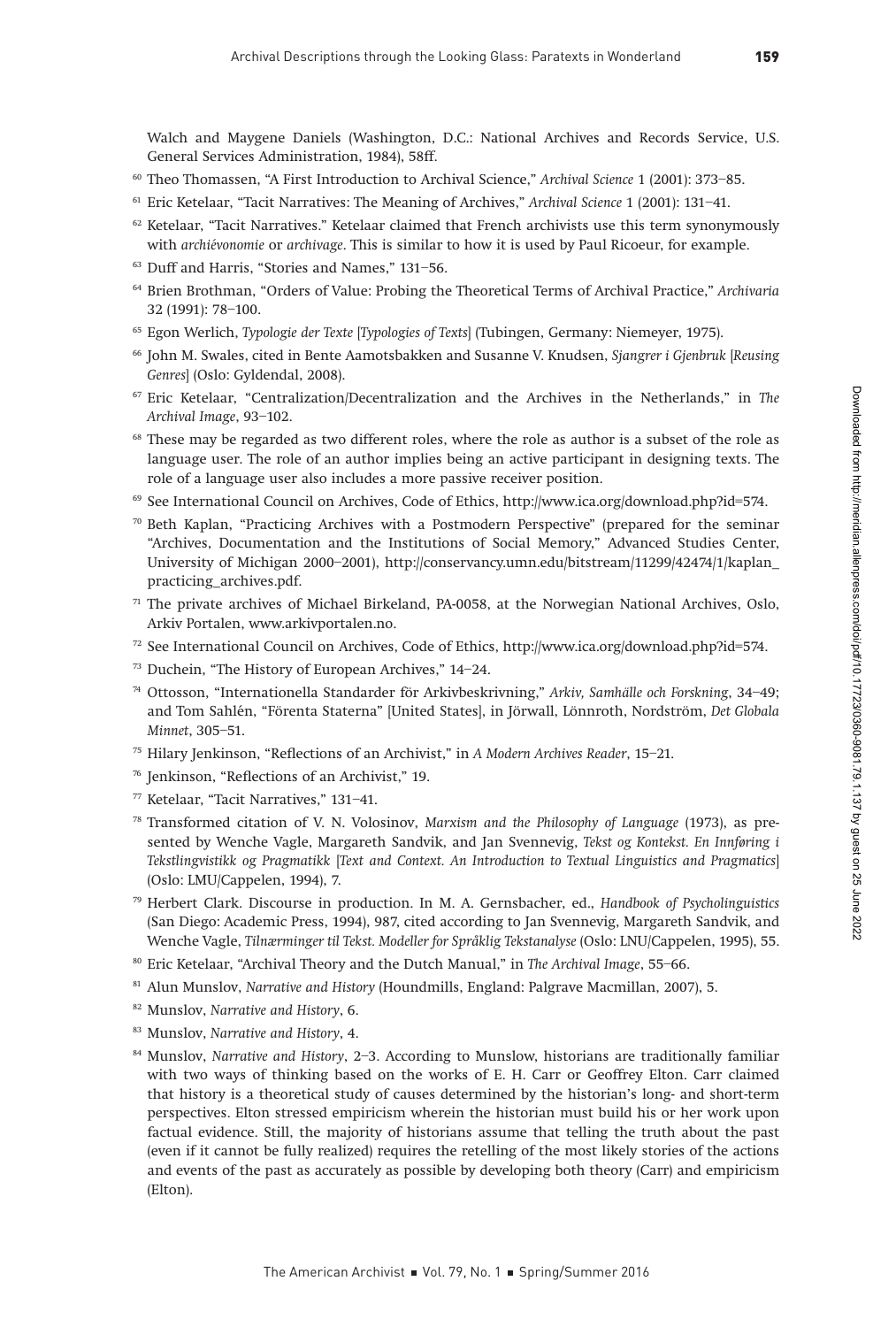Walch and Maygene Daniels (Washington, D.C.: National Archives and Records Service, U.S. General Services Administration, 1984), 58ff.

- <sup>60</sup> Theo Thomassen, "A First Introduction to Archival Science," Archival Science 1 (2001): 373–85.
- <sup>61</sup> Eric Ketelaar, "Tacit Narratives: The Meaning of Archives," Archival Science 1 (2001): 131-41.
- <sup>62</sup> Ketelaar, "Tacit Narratives." Ketelaar claimed that French archivists use this term synonymously with archiévonomie or archivage. This is similar to how it is used by Paul Ricoeur, for example.
- <sup>63</sup> Duff and Harris, "Stories and Names," 131–56.
- <sup>64</sup> Brien Brothman, "Orders of Value: Probing the Theoretical Terms of Archival Practice," Archivaria 32 (1991): 78–100.
- <sup>65</sup> Egon Werlich, Typologie der Texte [Typologies of Texts] (Tubingen, Germany: Niemeyer, 1975).
- <sup>66</sup> John M. Swales, cited in Bente Aamotsbakken and Susanne V. Knudsen, Sjangrer i Gjenbruk [Reusing Genres] (Oslo: Gyldendal, 2008).
- $67$  Eric Ketelaar, "Centralization/Decentralization and the Archives in the Netherlands," in The Archival Image, 93–102.
- <sup>68</sup> These may be regarded as two different roles, where the role as author is a subset of the role as language user. The role of an author implies being an active participant in designing texts. The role of a language user also includes a more passive receiver position.
- <sup>69</sup> See International Council on Archives, Code of Ethics, http://www.ica.org/download.php?id=574.
- $70$  Beth Kaplan, "Practicing Archives with a Postmodern Perspective" (prepared for the seminar "Archives, Documentation and the Institutions of Social Memory," Advanced Studies Center, University of Michigan 2000–2001), http://conservancy.umn.edu/bitstream/11299/42474/1/kaplan\_ practicing\_archives.pdf.
- $71$  The private archives of Michael Birkeland, PA-0058, at the Norwegian National Archives, Oslo, Arkiv Portalen, www.arkivportalen.no.
- <sup>72</sup> See International Council on Archives, Code of Ethics, http://www.ica.org/download.php?id=574.
- <sup>73</sup> Duchein, "The History of European Archives," 14–24.
- <sup>74</sup> Ottosson, "Internationella Standarder för Arkivbeskrivning," Arkiv, Samhälle och Forskning, 34–49; and Tom Sahlén, "Förenta Staterna" [United States], in Jörwall, Lönnroth, Nordström, Det Globala Minnet, 305–51.
- <sup>75</sup> Hilary Jenkinson, "Reflections of an Archivist," in A Modern Archives Reader, 15–21.
- <sup>76</sup> Jenkinson, "Reflections of an Archivist," 19.
- <sup>77</sup> Ketelaar, "Tacit Narratives," 131–41.
- <sup>78</sup> Transformed citation of V. N. Volosinov, Marxism and the Philosophy of Language (1973), as presented by Wenche Vagle, Margareth Sandvik, and Jan Svennevig, Tekst og Kontekst. En Innføring i Tekstlingvistikk og Pragmatikk [Text and Context. An Introduction to Textual Linguistics and Pragmatics] (Oslo: LMU/Cappelen, 1994), 7.
- 79 Herbert Clark. Discourse in production. In M. A. Gernsbacher, ed., Handbook of Psycholinguistics (San Diego: Academic Press, 1994), 987, cited according to Jan Svennevig, Margareth Sandvik, and Wenche Vagle, Tilnærminger til Tekst. Modeller for Språklig Tekstanalyse (Oslo: LNU/Cappelen, 1995), 55.
- 80 Eric Ketelaar, "Archival Theory and the Dutch Manual," in The Archival Image, 55-66.
- 81 Alun Munslov, Narrative and History (Houndmills, England: Palgrave Macmillan, 2007), 5.
- <sup>82</sup> Munslov, Narrative and History, 6.
- <sup>83</sup> Munslov, Narrative and History, 4.
- 84 Munslov, Narrative and History, 2-3. According to Munslow, historians are traditionally familiar with two ways of thinking based on the works of E. H. Carr or Geoffrey Elton. Carr claimed that history is a theoretical study of causes determined by the historian's long- and short-term perspectives. Elton stressed empiricism wherein the historian must build his or her work upon factual evidence. Still, the majority of historians assume that telling the truth about the past (even if it cannot be fully realized) requires the retelling of the most likely stories of the actions and events of the past as accurately as possible by developing both theory (Carr) and empiricism (Elton).